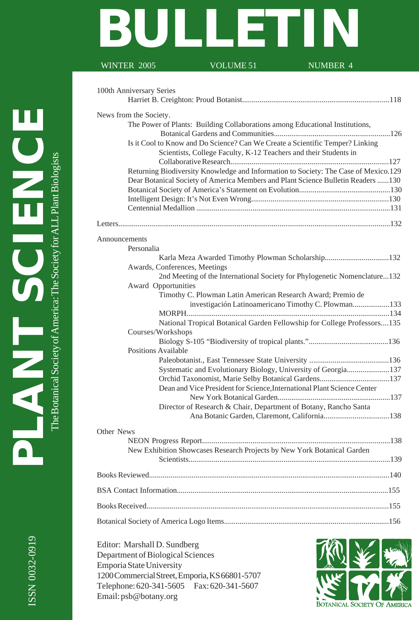# **BULLETIN**

#### WINTER 2005 VOLUME 51 NUMBER 4

|               | 100th Anniversary Series                                                                                                       |
|---------------|--------------------------------------------------------------------------------------------------------------------------------|
|               | News from the Society.                                                                                                         |
|               | The Power of Plants: Building Collaborations among Educational Institutions,                                                   |
|               |                                                                                                                                |
|               | Is it Cool to Know and Do Science? Can We Create a Scientific Temper? Linking                                                  |
|               | Scientists, College Faculty, K-12 Teachers and their Students in                                                               |
|               |                                                                                                                                |
|               | Returning Biodiversity Knowledge and Information to Society: The Case of Mexico.129                                            |
|               | Dear Botanical Society of America Members and Plant Science Bulletin Readers 130                                               |
|               |                                                                                                                                |
|               |                                                                                                                                |
|               |                                                                                                                                |
|               |                                                                                                                                |
| Announcements |                                                                                                                                |
|               | Personalia                                                                                                                     |
|               | Karla Meza Awarded Timothy Plowman Scholarship132                                                                              |
|               | Awards, Conferences, Meetings                                                                                                  |
|               | 2nd Meeting of the International Society for Phylogenetic Nomenclature132                                                      |
|               | Award Opportunities                                                                                                            |
|               | Timothy C. Plowman Latin American Research Award; Premio de                                                                    |
|               | investigación Latinoamericano Timothy C. Plowman133                                                                            |
|               |                                                                                                                                |
|               | National Tropical Botanical Garden Fellowship for College Professors135                                                        |
|               | Courses/Workshops                                                                                                              |
|               |                                                                                                                                |
|               | <b>Positions Available</b>                                                                                                     |
|               |                                                                                                                                |
|               | Systematic and Evolutionary Biology, University of Georgia137                                                                  |
|               | Orchid Taxonomist, Marie Selby Botanical Gardens137<br>Dean and Vice President for Science, International Plant Science Center |
|               |                                                                                                                                |
|               | Director of Research & Chair, Department of Botany, Rancho Santa                                                               |
|               |                                                                                                                                |
| Other News    |                                                                                                                                |
|               |                                                                                                                                |
|               | New Exhibition Showcases Research Projects by New York Botanical Garden                                                        |
|               |                                                                                                                                |
|               |                                                                                                                                |
|               |                                                                                                                                |
|               |                                                                                                                                |
|               |                                                                                                                                |
|               |                                                                                                                                |

Editor: Marshall D. Sundberg Department of Biological Sciences Emporia State University 1200 Commercial Street, Emporia, KS 66801-5707 Telephone: 620-341-5605 Fax: 620-341-5607 Email: psb@botany.org

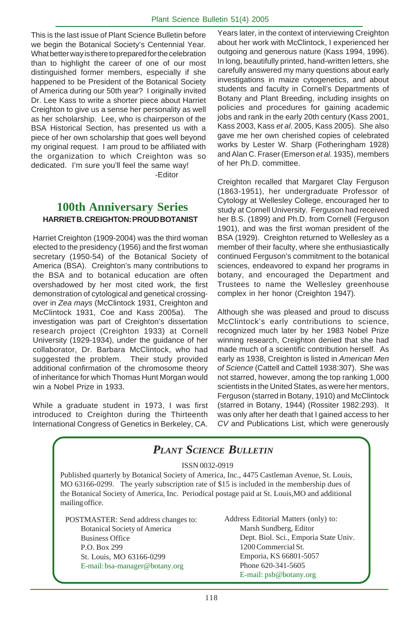This is the last issue of Plant Science Bulletin before we begin the Botanical Society's Centennial Year. What better way is there to prepared for the celebration than to highlight the career of one of our most distinguished former members, especially if she happened to be President of the Botanical Society of America during our 50th year? I originally invited Dr. Lee Kass to write a shorter piece about Harriet Creighton to give us a sense her personality as well as her scholarship. Lee, who is chairperson of the BSA Historical Section, has presented us with a piece of her own scholarship that goes well beyond my original request. I am proud to be affiliated with the organization to which Creighton was so dedicated. I'm sure you'll feel the same way!

-Editor

#### **100th Anniversary Series HARRIET B. CREIGHTON: PROUD BOTANIST**

Harriet Creighton (1909-2004) was the third woman elected to the presidency (1956) and the first woman secretary (1950-54) of the Botanical Society of America (BSA). Creighton's many contributions to the BSA and to botanical education are often overshadowed by her most cited work, the first demonstration of cytological and genetical crossingover in *Zea mays* (McClintock 1931, Creighton and McClintock 1931, Coe and Kass 2005a). The investigation was part of Creighton's dissertation research project (Creighton 1933) at Cornell University (1929-1934), under the guidance of her collaborator, Dr. Barbara McClintock, who had suggested the problem. Their study provided additional confirmation of the chromosome theory of inheritance for which Thomas Hunt Morgan would win a Nobel Prize in 1933.

While a graduate student in 1973, I was first introduced to Creighton during the Thirteenth International Congress of Genetics in Berkeley, CA.

Years later, in the context of interviewing Creighton about her work with McClintock, I experienced her outgoing and generous nature (Kass 1994, 1996). In long, beautifully printed, hand-written letters, she carefully answered my many questions about early investigations in maize cytogenetics, and about students and faculty in Cornell's Departments of Botany and Plant Breeding, including insights on policies and procedures for gaining academic jobs and rank in the early 20th century (Kass 2001, Kass 2003, Kass *et al*. 2005, Kass 2005). She also gave me her own cherished copies of celebrated works by Lester W. Sharp (Fotheringham 1928) and Alan C. Fraser (Emerson *et al.* 1935), members of her Ph.D. committee.

Creighton recalled that Margaret Clay Ferguson (1863-1951), her undergraduate Professor of Cytology at Wellesley College, encouraged her to study at Cornell University. Ferguson had received her B.S. (1899) and Ph.D. from Cornell (Ferguson 1901), and was the first woman president of the BSA (1929). Creighton returned to Wellesley as a member of their faculty, where she enthusiastically continued Ferguson's commitment to the botanical sciences, endeavored to expand her programs in botany, and encouraged the Department and Trustees to name the Wellesley greenhouse complex in her honor (Creighton 1947).

Although she was pleased and proud to discuss McClintock's early contributions to science, recognized much later by her 1983 Nobel Prize winning research, Creighton denied that she had made much of a scientific contribution herself. As early as 1938, Creighton is listed in *American Men of Science* (Cattell and Cattell 1938:307).She was not starred, however, among the top ranking 1,000 scientists in the United States, as were her mentors, Ferguson (starred in Botany, 1910) and McClintock (starred in Botany, 1944) (Rossiter 1982:293). It was only after her death that I gained access to her *CV* and Publications List, which were generously

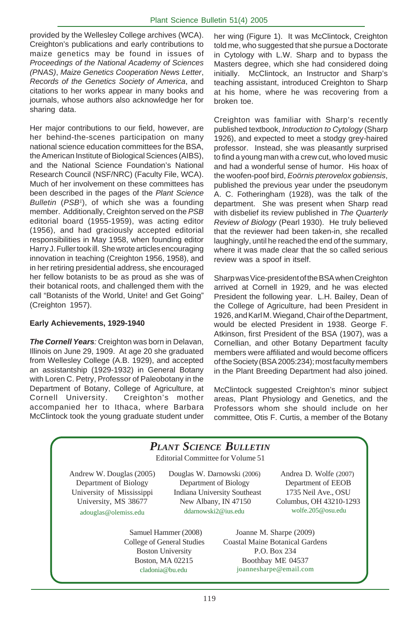provided by the Wellesley College archives (WCA). Creighton's publications and early contributions to maize genetics may be found in issues of *Proceedings of the National Academy of Sciences (PNAS)*, *Maize Genetics Cooperation News Letter*, *Records of the Genetics Society of America*, and citations to her works appear in many books and journals, whose authors also acknowledge her for sharing data.

Her major contributions to our field, however, are her behind-the-scenes participation on many national science education committees for the BSA, the American Institute of Biological Sciences (AIBS), and the National Science Foundation's National Research Council (NSF/NRC) (Faculty File, WCA). Much of her involvement on these committees has been described in the pages of the *Plant Science Bulletin* (*PSB1* ), of which she was a founding member. Additionally, Creighton served on the *PSB* editorial board (1955-1959), was acting editor (1956), and had graciously accepted editorial responsibilities in May 1958, when founding editor Harry J. Fuller took ill. She wrote articles encouraging innovation in teaching (Creighton 1956, 1958), and in her retiring presidential address, she encouraged her fellow botanists to be as proud as she was of their botanical roots, and challenged them with the call "Botanists of the World, Unite! and Get Going" (Creighton 1957).

#### **Early Achievements, 1929-1940**

*The Cornell Years:* Creighton was born in Delavan, Illinois on June 29, 1909. At age 20 she graduated from Wellesley College (A.B. 1929), and accepted an assistantship (1929-1932) in General Botany with Loren C. Petry, Professor of Paleobotany in the Department of Botany, College of Agriculture, at Cornell University. Creighton's mother accompanied her to Ithaca, where Barbara McClintock took the young graduate student under

her wing (Figure 1). It was McClintock, Creighton told me, who suggested that she pursue a Doctorate in Cytology with L.W. Sharp and to bypass the Masters degree, which she had considered doing initially. McClintock, an Instructor and Sharp's teaching assistant, introduced Creighton to Sharp at his home, where he was recovering from a broken toe.

Creighton was familiar with Sharp's recently published textbook, *Introduction to Cytology* (Sharp 1926), and expected to meet a stodgy grey-haired professor. Instead, she was pleasantly surprised to find a young man with a crew cut, who loved music and had a wonderful sense of humor. His hoax of the woofen-poof bird, *Eoörnis pterovelox gobiensis*, published the previous year under the pseudonym A. C. Fotheringham (1928), was the talk of the department. She was present when Sharp read with disbelief its review published in *The Quarterly Review of Biology* (Pearl 1930). He truly believed that the reviewer had been taken-in, she recalled laughingly, until he reached the end of the summary, where it was made clear that the so called serious review was a spoof in itself.

Sharp was Vice-president of the BSA when Creighton arrived at Cornell in 1929, and he was elected President the following year. L.H. Bailey, Dean of the College of Agriculture, had been President in 1926, and Karl M. Wiegand, Chair of the Department, would be elected President in 1938. George F. Atkinson, first President of the BSA (1907), was a Cornellian, and other Botany Department faculty members were affiliated and would become officers of the Society (BSA 2005:234); most faculty members in the Plant Breeding Department had also joined.

McClintock suggested Creighton's minor subject areas, Plant Physiology and Genetics, and the Professors whom she should include on her committee, Otis F. Curtis, a member of the Botany

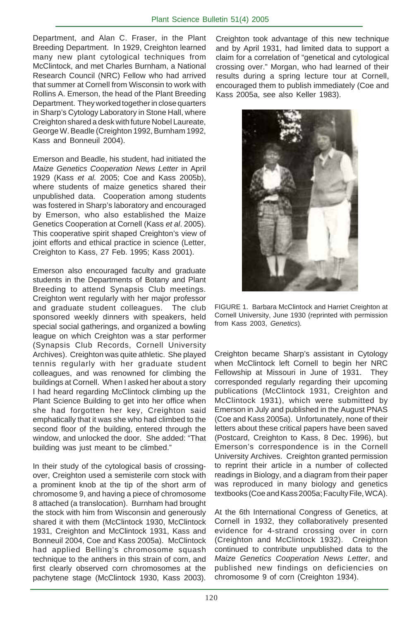Department, and Alan C. Fraser, in the Plant Breeding Department. In 1929, Creighton learned many new plant cytological techniques from McClintock, and met Charles Burnham, a National Research Council (NRC) Fellow who had arrived that summer at Cornell from Wisconsin to work with Rollins A. Emerson, the head of the Plant Breeding Department. They worked together in close quarters in Sharp's Cytology Laboratory in Stone Hall, where Creighton shared a desk with future Nobel Laureate, George W. Beadle (Creighton 1992, Burnham 1992, Kass and Bonneuil 2004).

Emerson and Beadle, his student, had initiated the *Maize Genetics Cooperation News Letter* in April 1929 (Kass *et al.* 2005; Coe and Kass 2005b), where students of maize genetics shared their unpublished data. Cooperation among students was fostered in Sharp's laboratory and encouraged by Emerson, who also established the Maize Genetics Cooperation at Cornell (Kass *et al*. 2005). This cooperative spirit shaped Creighton's view of joint efforts and ethical practice in science (Letter, Creighton to Kass, 27 Feb. 1995; Kass 2001).

Emerson also encouraged faculty and graduate students in the Departments of Botany and Plant Breeding to attend Synapsis Club meetings. Creighton went regularly with her major professor and graduate student colleagues. The club sponsored weekly dinners with speakers, held special social gatherings, and organized a bowling league on which Creighton was a star performer (Synapsis Club Records, Cornell University Archives). Creighton was quite athletic. She played tennis regularly with her graduate student colleagues, and was renowned for climbing the buildings at Cornell. When I asked her about a story I had heard regarding McClintock climbing up the Plant Science Building to get into her office when she had forgotten her key, Creighton said emphatically that it was she who had climbed to the second floor of the building, entered through the window, and unlocked the door. She added: "That building was just meant to be climbed."

In their study of the cytological basis of crossingover, Creighton used a semisterile corn stock with a prominent knob at the tip of the short arm of chromosome 9, and having a piece of chromosome 8 attached (a translocation). Burnham had brought the stock with him from Wisconsin and generously shared it with them (McClintock 1930, McClintock 1931, Creighton and McClintock 1931, Kass and Bonneuil 2004, Coe and Kass 2005a). McClintock had applied Belling's chromosome squash technique to the anthers in this strain of corn, and first clearly observed corn chromosomes at the pachytene stage (McClintock 1930, Kass 2003).

Creighton took advantage of this new technique and by April 1931, had limited data to support a claim for a correlation of "genetical and cytological crossing over." Morgan, who had learned of their results during a spring lecture tour at Cornell, encouraged them to publish immediately (Coe and Kass 2005a, see also Keller 1983).



FIGURE 1. Barbara McClintock and Harriet Creighton at Cornell University, June 1930 (reprinted with permission from Kass 2003, *Genetics*).

Creighton became Sharp's assistant in Cytology when McClintock left Cornell to begin her NRC Fellowship at Missouri in June of 1931. They corresponded regularly regarding their upcoming publications (McClintock 1931, Creighton and McClintock 1931), which were submitted by Emerson in July and published in the August PNAS (Coe and Kass 2005a). Unfortunately, none of their letters about these critical papers have been saved (Postcard, Creighton to Kass, 8 Dec. 1996), but Emerson's correspondence is in the Cornell University Archives. Creighton granted permission to reprint their article in a number of collected readings in Biology, and a diagram from their paper was reproduced in many biology and genetics textbooks (Coe and Kass 2005a; Faculty File, WCA).

At the 6th International Congress of Genetics, at Cornell in 1932, they collaboratively presented evidence for 4-strand crossing over in corn (Creighton and McClintock 1932). Creighton continued to contribute unpublished data to the *Maize Genetics Cooperation News Letter*, and published new findings on deficiencies on chromosome 9 of corn (Creighton 1934).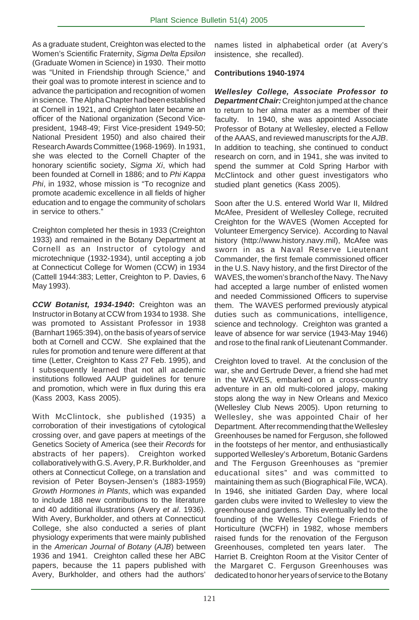As a graduate student, Creighton was elected to the Women's Scientific Fraternity, *Sigma Delta Epsilon* (Graduate Women in Science) in 1930. Their motto was "United in Friendship through Science," and their goal was to promote interest in science and to advance the participation and recognition of women in science. The Alpha Chapter had been established at Cornell in 1921, and Creighton later became an officer of the National organization (Second Vicepresident, 1948-49; First Vice-president 1949-50; National President 1950) and also chaired their Research Awards Committee (1968-1969). In 1931, she was elected to the Cornell Chapter of the honorary scientific society, *Sigma Xi*, which had been founded at Cornell in 1886; and to *Phi Kappa Phi*, in 1932, whose mission is "To recognize and promote academic excellence in all fields of higher education and to engage the community of scholars in service to others."

Creighton completed her thesis in 1933 (Creighton 1933) and remained in the Botany Department at Cornell as an Instructor of cytology and microtechnique (1932-1934), until accepting a job at Connecticut College for Women (CCW) in 1934 (Cattell 1944:383; Letter, Creighton to P. Davies, 6 May 1993).

*CCW Botanist, 1934-1940***:** Creighton was an Instructor in Botany at CCW from 1934 to 1938. She was promoted to Assistant Professor in 1938 (Barnhart 1965:394), on the basis of years of service both at Cornell and CCW. She explained that the rules for promotion and tenure were different at that time (Letter, Creighton to Kass 27 Feb. 1995), and I subsequently learned that not all academic institutions followed AAUP guidelines for tenure and promotion, which were in flux during this era (Kass 2003, Kass 2005).

With McClintock, she published (1935) a corroboration of their investigations of cytological crossing over, and gave papers at meetings of the Genetics Society of America (see their *Records* for abstracts of her papers). Creighton worked collaboratively with G.S. Avery, P.R. Burkholder, and others at Connecticut College, on a translation and revision of Peter Boysen-Jensen's (1883-1959) *Growth Hormones in Plants*, which was expanded to include 188 new contributions to the literature and 40 additional illustrations (Avery *et al*. 1936). With Avery, Burkholder, and others at Connecticut College, she also conducted a series of plant physiology experiments that were mainly published in the *American Journal of Botany* (*AJB*) between 1936 and 1941. Creighton called these her ABC papers, because the 11 papers published with Avery, Burkholder, and others had the authors'

names listed in alphabetical order (at Avery's insistence, she recalled).

#### **Contributions 1940-1974**

*Wellesley College, Associate Professor to Department Chair:* Creighton jumped at the chance to return to her alma mater as a member of their faculty. In 1940, she was appointed Associate Professor of Botany at Wellesley, elected a Fellow of the AAAS, and reviewed manuscripts for the *AJB*. In addition to teaching, she continued to conduct research on corn, and in 1941, she was invited to spend the summer at Cold Spring Harbor with McClintock and other guest investigators who studied plant genetics (Kass 2005).

Soon after the U.S. entered World War II, Mildred McAfee, President of Wellesley College, recruited Creighton for the WAVES (Women Accepted for Volunteer Emergency Service). According to Naval history (http://www.history.navy.mil), McAfee was sworn in as a Naval Reserve Lieutenant Commander, the first female commissioned officer in the U.S. Navy history, and the first Director of the WAVES, the women's branch of the Navy. The Navy had accepted a large number of enlisted women and needed Commissioned Officers to supervise them. The WAVES performed previously atypical duties such as communications, intelligence, science and technology. Creighton was granted a leave of absence for war service (1943-May 1946) and rose to the final rank of Lieutenant Commander.

Creighton loved to travel. At the conclusion of the war, she and Gertrude Dever, a friend she had met in the WAVES, embarked on a cross-country adventure in an old multi-colored jalopy, making stops along the way in New Orleans and Mexico (Wellesley Club News 2005). Upon returning to Wellesley, she was appointed Chair of her Department. After recommending that the Wellesley Greenhouses be named for Ferguson, she followed in the footsteps of her mentor, and enthusiastically supported Wellesley's Arboretum, Botanic Gardens and The Ferguson Greenhouses as "premier educational sites" and was committed to maintaining them as such (Biographical File, WCA). In 1946, she initiated Garden Day, where local garden clubs were invited to Wellesley to view the greenhouse and gardens. This eventually led to the founding of the Wellesley College Friends of Horticulture (WCFH) in 1982, whose members raised funds for the renovation of the Ferguson Greenhouses, completed ten years later. The Harriet B. Creighton Room at the Visitor Center of the Margaret C. Ferguson Greenhouses was dedicated to honor her years of service to the Botany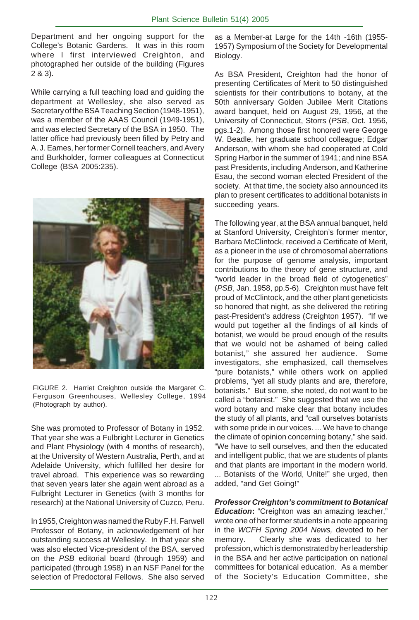Department and her ongoing support for the College's Botanic Gardens. It was in this room where I first interviewed Creighton, and photographed her outside of the building (Figures 2 & 3).

While carrying a full teaching load and guiding the department at Wellesley, she also served as Secretary of the BSA Teaching Section (1948-1951), was a member of the AAAS Council (1949-1951), and was elected Secretary of the BSA in 1950. The latter office had previously been filled by Petry and A. J. Eames, her former Cornell teachers, and Avery and Burkholder, former colleagues at Connecticut College (BSA 2005:235).



FIGURE 2. Harriet Creighton outside the Margaret C. Ferguson Greenhouses, Wellesley College, 1994 (Photograph by author).

She was promoted to Professor of Botany in 1952. That year she was a Fulbright Lecturer in Genetics and Plant Physiology (with 4 months of research), at the University of Western Australia, Perth, and at Adelaide University, which fulfilled her desire for travel abroad. This experience was so rewarding that seven years later she again went abroad as a Fulbright Lecturer in Genetics (with 3 months for research) at the National University of Cuzco, Peru.

In 1955, Creighton was named the Ruby F.H. Farwell Professor of Botany, in acknowledgement of her outstanding success at Wellesley. In that year she was also elected Vice-president of the BSA, served on the *PSB* editorial board (through 1959) and participated (through 1958) in an NSF Panel for the selection of Predoctoral Fellows. She also served

as a Member-at Large for the 14th -16th (1955- 1957) Symposium of the Society for Developmental Biology.

As BSA President, Creighton had the honor of presenting Certificates of Merit to 50 distinguished scientists for their contributions to botany, at the 50th anniversary Golden Jubilee Merit Citations award banquet, held on August 29, 1956, at the University of Connecticut, Storrs (*PSB*, Oct. 1956, pgs.1-2). Among those first honored were George W. Beadle, her graduate school colleague; Edgar Anderson, with whom she had cooperated at Cold Spring Harbor in the summer of 1941; and nine BSA past Presidents, including Anderson, and Katherine Esau, the second woman elected President of the society. At that time, the society also announced its plan to present certificates to additional botanists in succeeding years.

The following year, at the BSA annual banquet, held at Stanford University, Creighton's former mentor, Barbara McClintock, received a Certificate of Merit, as a pioneer in the use of chromosomal aberrations for the purpose of genome analysis, important contributions to the theory of gene structure, and "world leader in the broad field of cytogenetics" (*PSB*, Jan. 1958, pp.5-6). Creighton must have felt proud of McClintock, and the other plant geneticists so honored that night, as she delivered the retiring past-President's address (Creighton 1957). "If we would put together all the findings of all kinds of botanist, we would be proud enough of the results that we would not be ashamed of being called botanist," she assured her audience. Some investigators, she emphasized, call themselves "pure botanists," while others work on applied problems, "yet all study plants and are, therefore, botanists." But some, she noted, do not want to be called a "botanist." She suggested that we use the word botany and make clear that botany includes the study of all plants, and "call ourselves botanists with some pride in our voices. ... We have to change the climate of opinion concerning botany," she said. "We have to sell ourselves, and then the educated and intelligent public, that we are students of plants and that plants are important in the modern world. ... Botanists of the World, Unite!" she urged, then added, "and Get Going!"

*Professor Creighton's commitment to Botanical Education:* "Creighton was an amazing teacher," wrote one of her former students in a note appearing in the *WCFH Spring 2004 News,* devoted to her memory. Clearly she was dedicated to her profession, which is demonstrated by her leadership in the BSA and her active participation on national committees for botanical education. As a member of the Society's Education Committee, she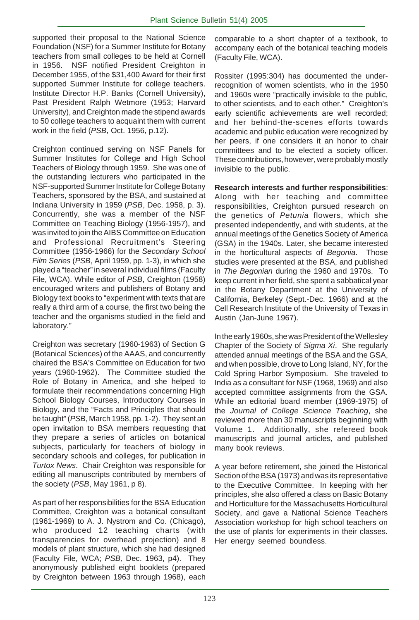supported their proposal to the National Science Foundation (NSF) for a Summer Institute for Botany teachers from small colleges to be held at Cornell in 1956. NSF notified President Creighton in December 1955, of the \$31,400 Award for their first supported Summer Institute for college teachers. Institute Director H.P. Banks (Cornell University), Past President Ralph Wetmore (1953; Harvard University), and Creighton made the stipend awards to 50 college teachers to acquaint them with current work in the field (*PSB*, Oct. 1956, p.12).

Creighton continued serving on NSF Panels for Summer Institutes for College and High School Teachers of Biology through 1959. She was one of the outstanding lecturers who participated in the NSF-supported Summer Institute for College Botany Teachers, sponsored by the BSA, and sustained at Indiana University in 1959 (*PSB*, Dec. 1958, p. 3). Concurrently, she was a member of the NSF Committee on Teaching Biology (1956-1957), and was invited to join the AIBS Committee on Education and Professional Recruitment's Steering Committee (1956-1966) for the *Secondary School Film Series* (*PSB*, April 1959, pp. 1-3), in which she played a "teacher" in several individual films (Faculty File, WCA). While editor of *PSB*, Creighton (1958) encouraged writers and publishers of Botany and Biology text books to "experiment with texts that are really a third arm of a course, the first two being the teacher and the organisms studied in the field and laboratory."

Creighton was secretary (1960-1963) of Section G (Botanical Sciences) of the AAAS, and concurrently chaired the BSA's Committee on Education for two years (1960-1962). The Committee studied the Role of Botany in America, and she helped to formulate their recommendations concerning High School Biology Courses, Introductory Courses in Biology, and the "Facts and Principles that should be taught" (*PSB*, March 1958, pp. 1-2). They sent an open invitation to BSA members requesting that they prepare a series of articles on botanical subjects, particularly for teachers of biology in secondary schools and colleges, for publication in *Turtox News*. Chair Creighton was responsible for editing all manuscripts contributed by members of the society (*PSB*, May 1961, p 8).

As part of her responsibilities for the BSA Education Committee, Creighton was a botanical consultant (1961-1969) to A. J. Nystrom and Co. (Chicago), who produced 12 teaching charts (with transparencies for overhead projection) and 8 models of plant structure, which she had designed (Faculty File, WCA; *PSB,* Dec. 1963, p4). They anonymously published eight booklets (prepared by Creighton between 1963 through 1968), each

comparable to a short chapter of a textbook, to accompany each of the botanical teaching models (Faculty File, WCA).

Rossiter (1995:304) has documented the underrecognition of women scientists, who in the 1950 and 1960s were "practically invisible to the public, to other scientists, and to each other." Creighton's early scientific achievements are well recorded; and her behind-the-scenes efforts towards academic and public education were recognized by her peers, if one considers it an honor to chair committees and to be elected a society officer. These contributions, however, were probably mostly invisible to the public.

**Research interests and further responsibilities**: Along with her teaching and committee responsibilities, Creighton pursued research on the genetics of *Petunia* flowers, which she presented independently, and with students, at the annual meetings of the Genetics Society of America (GSA) in the 1940s. Later, she became interested in the horticultural aspects of *Begonia*. Those studies were presented at the BSA, and published in *The Begonian* during the 1960 and 1970s. To keep current in her field, she spent a sabbatical year in the Botany Department at the University of California, Berkeley (Sept.-Dec. 1966) and at the Cell Research Institute of the University of Texas in Austin (Jan-June 1967).

In the early 1960s, she was President of the Wellesley Chapter of the Society of *Sigma Xi*. She regularly attended annual meetings of the BSA and the GSA, and when possible, drove to Long Island, NY, for the Cold Spring Harbor Symposium. She traveled to India as a consultant for NSF (1968, 1969) and also accepted committee assignments from the GSA. While an editorial board member (1969-1975) of the *Journal of College Science Teaching*, she reviewed more than 30 manuscripts beginning with Volume 1. Additionally, she refereed book manuscripts and journal articles, and published many book reviews.

A year before retirement, she joined the Historical Section of the BSA (1973) and was its representative to the Executive Committee. In keeping with her principles, she also offered a class on Basic Botany and Horticulture for the Massachusetts Horticultural Society, and gave a National Science Teachers Association workshop for high school teachers on the use of plants for experiments in their classes. Her energy seemed boundless.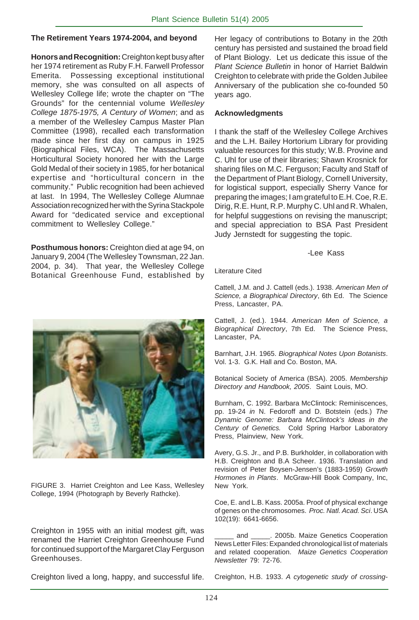#### **The Retirement Years 1974-2004, and beyond**

**Honors and Recognition:** Creighton kept busy after her 1974 retirement as Ruby F.H. Farwell Professor Emerita. Possessing exceptional institutional memory, she was consulted on all aspects of Wellesley College life; wrote the chapter on "The Grounds" for the centennial volume *Wellesley College 1875-1975, A Century of Women*; and as a member of the Wellesley Campus Master Plan Committee (1998), recalled each transformation made since her first day on campus in 1925 (Biographical Files, WCA). The Massachusetts Horticultural Society honored her with the Large Gold Medal of their society in 1985, for her botanical expertise and "horticultural concern in the community." Public recognition had been achieved at last. In 1994, The Wellesley College Alumnae Association recognized her with the Syrina Stackpole Award for "dedicated service and exceptional commitment to Wellesley College."

**Posthumous honors:** Creighton died at age 94, on January 9, 2004 (The Wellesley Townsman, 22 Jan. 2004, p. 34). That year, the Wellesley College Botanical Greenhouse Fund, established by Her legacy of contributions to Botany in the 20th century has persisted and sustained the broad field of Plant Biology. Let us dedicate this issue of the *Plant Science Bulletin* in honor of Harriet Baldwin Creighton to celebrate with pride the Golden Jubilee Anniversary of the publication she co-founded 50 years ago.

#### **Acknowledgments**

I thank the staff of the Wellesley College Archives and the L.H. Bailey Hortorium Library for providing valuable resources for this study; W.B. Provine and C. Uhl for use of their libraries; Shawn Krosnick for sharing files on M.C. Ferguson; Faculty and Staff of the Department of Plant Biology, Cornell University, for logistical support, especially Sherry Vance for preparing the images; I am grateful to E.H. Coe, R.E. Dirig, R.E. Hunt, R.P. Murphy C. Uhl and R. Whalen, for helpful suggestions on revising the manuscript; and special appreciation to BSA Past President Judy Jernstedt for suggesting the topic.

#### -Lee Kass

Literature Cited

Cattell, J.M. and J. Cattell (eds.). 1938. *American Men of Science, a Biographical Directory*, 6th Ed. The Science Press, Lancaster, PA.

Cattell, J. (ed.). 1944. *American Men of Science, a Biographical Directory*, 7th Ed. The Science Press, Lancaster, PA.

Barnhart, J.H. 1965. *Biographical Notes Upon Botanists*. Vol. 1-3. G.K. Hall and Co. Boston, MA.

Botanical Society of America (BSA). 2005. *Membership Directory and Handbook, 2005*. Saint Louis, MO.

Burnham, C. 1992. Barbara McClintock: Reminiscences, pp. 19-24 *in* N. Fedoroff and D. Botstein (eds.) *The Dynamic Genome: Barbara McClintock's Ideas in the Century of Genetics.* Cold Spring Harbor Laboratory Press, Plainview, New York.

Avery, G.S. Jr., and P.B. Burkholder, in collaboration with H.B. Creighton and B.A Scheer. 1936. Translation and revision of Peter Boysen-Jensen's (1883-1959) *Growth Hormones in Plants*. McGraw-Hill Book Company, Inc, New York.

Coe, E. and L.B. Kass. 2005a. Proof of physical exchange of genes on the chromosomes. *Proc. Natl. Acad. Sci*. USA 102(19): 6641-6656.

and \_\_\_\_\_\_. 2005b. Maize Genetics Cooperation News Letter Files: Expanded chronological list of materials and related cooperation. *Maize Genetics Cooperation Newsletter* 79: 72-76.

Creighton lived a long, happy, and successful life.

FIGURE 3. Harriet Creighton and Lee Kass, Wellesley College, 1994 (Photograph by Beverly Rathcke).

Creighton in 1955 with an initial modest gift, was renamed the Harriet Creighton Greenhouse Fund for continued support of the Margaret Clay Ferguson Greenhouses.

Creighton, H.B. 1933. *A cytogenetic study of crossing-*



124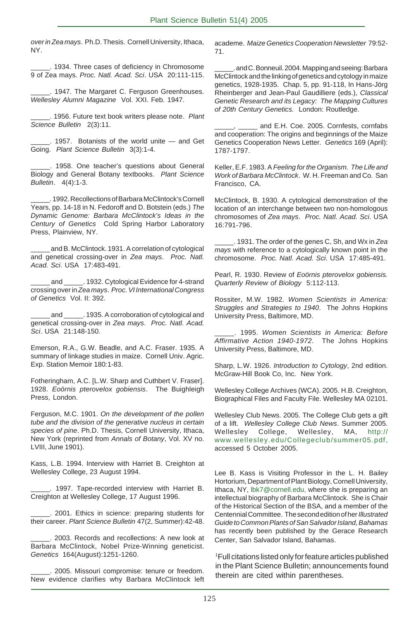*over inZea mays*. Ph.D. Thesis. Cornell University, Ithaca, NY.

\_\_\_\_\_. 1934. Three cases of deficiency in Chromosome 9 of Zea mays. *Proc. Natl. Acad. Sci*. USA 20:111-115.

\_\_\_\_\_. 1947. The Margaret C. Ferguson Greenhouses. *Wellesley Alumni Magazine* Vol. XXI. Feb. 1947.

\_\_\_\_\_. 1956. Future text book writers please note. *Plant Science Bulletin* 2(3):11.

\_\_\_\_\_. 1957. Botanists of the world unite — and Get Going. *Plant Science Bulletin* 3(3):1-4.

\_\_\_\_\_. 1958. One teacher's questions about General Biology and General Botany textbooks. *Plant Science Bulletin*. 4(4):1-3.

\_\_\_\_\_. 1992. Recollections of Barbara McClintock's Cornell Years, pp. 14-18 in N. Fedoroff and D. Botstein (eds.) *The Dynamic Genome: Barbara McClintock's Ideas in the Century of Genetics* Cold Spring Harbor Laboratory Press, Plainview, NY.

and B. McClintock. 1931. A correlation of cytological and genetical crossing-over in *Zea mays*. *Proc. Natl. Acad. Sci*. USA 17:483-491.

and \_\_\_\_\_\_. 1932. Cytological Evidence for 4-strand crossing over in *Zea mays*. *Proc. VI International Congress of Genetics* Vol. II: 392.

and \_\_\_\_\_\_. 1935. A corroboration of cytological and genetical crossing-over in *Zea mays*. *Proc. Natl. Acad. Sci*. USA 21:148-150.

Emerson, R.A., G.W. Beadle, and A.C. Fraser. 1935. A summary of linkage studies in maize. Cornell Univ. Agric. Exp. Station Memoir 180:1-83.

Fotheringham, A.C. [L.W. Sharp and Cuthbert V. Fraser]. 1928. *Eoörnis pterovelox gobiensis*. The Buighleigh Press, London.

Ferguson, M.C. 1901. *On the development of the pollen tube and the division of the generative nucleus in certain species of pine*. Ph.D. Thesis, Cornell University, Ithaca, New York (reprinted from *Annals of Botany*, Vol. XV no. LVIII, June 1901).

Kass, L.B. 1994. Interview with Harriet B. Creighton at Wellesley College, 23 August 1994.

\_\_\_\_\_. 1997. Tape-recorded interview with Harriet B. Creighton at Wellesley College, 17 August 1996.

\_\_\_\_\_. 2001. Ethics in science: preparing students for their career. *Plant Science Bulletin* 47(2, Summer):42-48.

\_\_\_\_\_. 2003. Records and recollections: A new look at Barbara McClintock, Nobel Prize-Winning geneticist. *Genetics* 164(August):1251-1260.

\_\_\_\_\_. 2005. Missouri compromise: tenure or freedom. New evidence clarifies why Barbara McClintock left academe. *Maize Genetics Cooperation Newsletter* 79:52- 71.

. and C. Bonneuil. 2004. Mapping and seeing: Barbara McClintock and the linking of genetics and cytology in maize genetics, 1928-1935. Chap. 5, pp. 91-118, In Hans-Jörg Rheinberger and Jean-Paul Gaudilliere (eds.), *Classical Genetic Research and its Legacy: The Mapping Cultures of 20th Century Genetics.* London: Routledge.

and E.H. Coe. 2005. Cornfests, cornfabs and cooperation: The origins and beginnings of the Maize Genetics Cooperation News Letter. *Genetics* 169 (April): 1787-1797.

Keller, E.F. 1983. A *Feeling for the Organism. The Life and Work of Barbara McClintock*. W. H. Freeman and Co. San Francisco, CA.

McClintock, B. 1930. A cytological demonstration of the location of an interchange between two non-homologous chromosomes of *Zea mays*. *Proc. Natl. Acad. Sci*. USA 16:791-796.

\_\_\_\_\_. 1931. The order of the genes C, Sh, and Wx in *Zea mays* with reference to a cytologically known point in the chromosome. *Proc. Natl. Acad. Sci*. USA 17:485-491.

Pearl, R. 1930. Review of *Eoörnis pterovelox gobiensis. Quarterly Review of Biology* 5:112-113.

Rossiter, M.W. 1982. *Women Scientists in America: Struggles and Strategies to 1940*. The Johns Hopkins University Press, Baltimore, MD.

\_\_\_\_\_. 1995. *Women Scientists in America: Before Affirmative Action 1940-1972*. The Johns Hopkins University Press, Baltimore, MD.

Sharp, L.W. 1926. *Introduction to Cytology*, 2nd edition. McGraw-Hill Book Co, Inc. New York.

Wellesley College Archives (WCA). 2005. H.B. Creighton, Biographical Files and Faculty File. Wellesley MA 02101.

Wellesley Club News. 2005. The College Club gets a gift of a lift. *Wellesley College Club News*. Summer 2005. Wellesley College, Wellesley, MA, http:// www.wellesley.edu/Collegeclub/summer05.pdf, accessed 5 October 2005.

Lee B. Kass is Visiting Professor in the L. H. Bailey Hortorium, Department of Plant Biology, Cornell University, Ithaca, NY, lbk7@cornell.edu, where she is preparing an intellectual biography of Barbara McClintock. She is Chair of the Historical Section of the BSA, and a member of the Centennial Committee. The second edition of her *Illustrated Guide to Common Plants of San Salvador Island, Bahamas* has recently been published by the Gerace Research Center, San Salvador Island, Bahamas.

1 Full citations listed only for feature articles published in the Plant Science Bulletin; announcements found therein are cited within parentheses.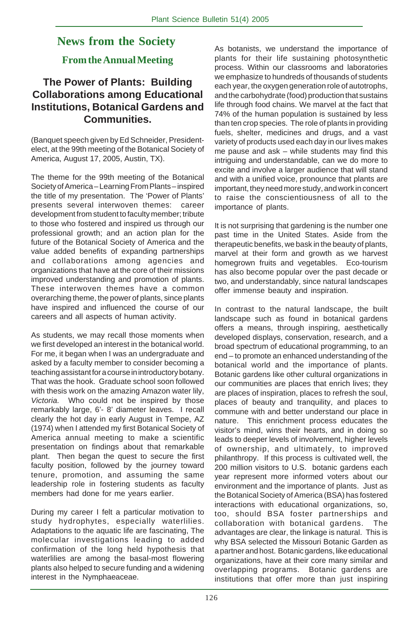## **News from the Society**

### **From the Annual Meeting**

#### **The Power of Plants: Building Collaborations among Educational Institutions, Botanical Gardens and Communities.**

(Banquet speech given by Ed Schneider, Presidentelect, at the 99th meeting of the Botanical Society of America, August 17, 2005, Austin, TX).

The theme for the 99th meeting of the Botanical Society of America – Learning From Plants – inspired the title of my presentation. The 'Power of Plants' presents several interwoven themes: career development from student to faculty member; tribute to those who fostered and inspired us through our professional growth; and an action plan for the future of the Botanical Society of America and the value added benefits of expanding partnerships and collaborations among agencies and organizations that have at the core of their missions improved understanding and promotion of plants. These interwoven themes have a common overarching theme, the power of plants, since plants have inspired and influenced the course of our careers and all aspects of human activity.

As students, we may recall those moments when we first developed an interest in the botanical world. For me, it began when I was an undergraduate and asked by a faculty member to consider becoming a teaching assistant for a course in introductory botany. That was the hook. Graduate school soon followed with thesis work on the amazing Amazon water lily, *Victoria.* Who could not be inspired by those remarkably large, 6'- 8' diameter leaves. I recall clearly the hot day in early August in Tempe, AZ (1974) when I attended my first Botanical Society of America annual meeting to make a scientific presentation on findings about that remarkable plant. Then began the quest to secure the first faculty position, followed by the journey toward tenure, promotion, and assuming the same leadership role in fostering students as faculty members had done for me years earlier.

During my career I felt a particular motivation to study hydrophytes, especially waterlilies. Adaptations to the aquatic life are fascinating, The molecular investigations leading to added confirmation of the long held hypothesis that waterlilies are among the basal-most flowering plants also helped to secure funding and a widening interest in the Nymphaeaceae.

As botanists, we understand the importance of plants for their life sustaining photosynthetic process. Within our classrooms and laboratories we emphasize to hundreds of thousands of students each year, the oxygen generation role of autotrophs, and the carbohydrate (food) production that sustains life through food chains. We marvel at the fact that 74% of the human population is sustained by less than ten crop species. The role of plants in providing fuels, shelter, medicines and drugs, and a vast variety of products used each day in our lives makes me pause and ask – while students may find this intriguing and understandable, can we do more to excite and involve a larger audience that will stand and with a unified voice, pronounce that plants are important, they need more study, and work in concert to raise the conscientiousness of all to the importance of plants.

It is not surprising that gardening is the number one past time in the United States. Aside from the therapeutic benefits, we bask in the beauty of plants, marvel at their form and growth as we harvest homegrown fruits and vegetables. Eco-tourism has also become popular over the past decade or two, and understandably, since natural landscapes offer immense beauty and inspiration.

In contrast to the natural landscape, the built landscape such as found in botanical gardens offers a means, through inspiring, aesthetically developed displays, conservation, research, and a broad spectrum of educational programming, to an end – to promote an enhanced understanding of the botanical world and the importance of plants. Botanic gardens like other cultural organizations in our communities are places that enrich lives; they are places of inspiration, places to refresh the soul, places of beauty and tranquility, and places to commune with and better understand our place in nature. This enrichment process educates the visitor's mind, wins their hearts, and in doing so leads to deeper levels of involvement, higher levels of ownership, and ultimately, to improved philanthropy. If this process is cultivated well, the 200 million visitors to U.S. botanic gardens each year represent more informed voters about our environment and the importance of plants. Just as the Botanical Society of America (BSA) has fostered interactions with educational organizations, so, too, should BSA foster partnerships and collaboration with botanical gardens. The advantages are clear, the linkage is natural. This is why BSA selected the Missouri Botanic Garden as a partner and host. Botanic gardens, like educational organizations, have at their core many similar and overlapping programs. Botanic gardens are institutions that offer more than just inspiring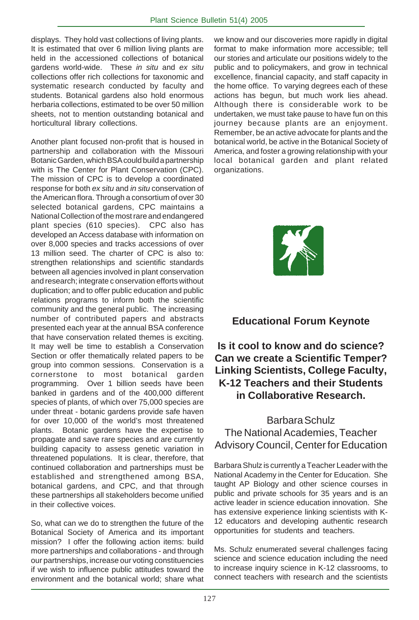displays. They hold vast collections of living plants. It is estimated that over 6 million living plants are held in the accessioned collections of botanical gardens world-wide. These *in situ* and *ex situ* collections offer rich collections for taxonomic and systematic research conducted by faculty and students. Botanical gardens also hold enormous herbaria collections, estimated to be over 50 million sheets, not to mention outstanding botanical and horticultural library collections.

Another plant focused non-profit that is housed in partnership and collaboration with the Missouri Botanic Garden, which BSA could build a partnership with is The Center for Plant Conservation (CPC). The mission of CPC is to develop a coordinated response for both *ex situ* and *in situ* conservation of the American flora. Through a consortium of over 30 selected botanical gardens, CPC maintains a National Collection of the most rare and endangered plant species (610 species). CPC also has developed an Access database with information on over 8,000 species and tracks accessions of over 13 million seed. The charter of CPC is also to: strengthen relationships and scientific standards between all agencies involved in plant conservation and research; integrate c onservation efforts without duplication; and to offer public education and public relations programs to inform both the scientific community and the general public. The increasing number of contributed papers and abstracts presented each year at the annual BSA conference that have conservation related themes is exciting. It may well be time to establish a Conservation Section or offer thematically related papers to be group into common sessions. Conservation is a cornerstone to most botanical garden programming. Over 1 billion seeds have been banked in gardens and of the 400,000 different species of plants, of which over 75,000 species are under threat - botanic gardens provide safe haven for over 10,000 of the world's most threatened plants. Botanic gardens have the expertise to propagate and save rare species and are currently building capacity to assess genetic variation in threatened populations. It is clear, therefore, that continued collaboration and partnerships must be established and strengthened among BSA, botanical gardens, and CPC, and that through these partnerships all stakeholders become unified in their collective voices.

So, what can we do to strengthen the future of the Botanical Society of America and its important mission? I offer the following action items: build more partnerships and collaborations - and through our partnerships, increase our voting constituencies if we wish to influence public attitudes toward the environment and the botanical world; share what

we know and our discoveries more rapidly in digital format to make information more accessible; tell our stories and articulate our positions widely to the public and to policymakers, and grow in technical excellence, financial capacity, and staff capacity in the home office. To varying degrees each of these actions has begun, but much work lies ahead. Although there is considerable work to be undertaken, we must take pause to have fun on this journey because plants are an enjoyment. Remember, be an active advocate for plants and the botanical world, be active in the Botanical Society of America, and foster a growing relationship with your local botanical garden and plant related organizations.



#### **Educational Forum Keynote**

#### **Is it cool to know and do science? Can we create a Scientific Temper? Linking Scientists, College Faculty, K-12 Teachers and their Students in Collaborative Research.**

#### Barbara Schulz The National Academies, Teacher Advisory Council, Center for Education

Barbara Shulz is currently a Teacher Leader with the National Academy in the Center for Education. She taught AP Biology and other science courses in public and private schools for 35 years and is an active leader in science education innovation. She has extensive experience linking scientists with K-12 educators and developing authentic research opportunities for students and teachers.

Ms. Schulz enumerated several challenges facing science and science education including the need to increase inquiry science in K-12 classrooms, to connect teachers with research and the scientists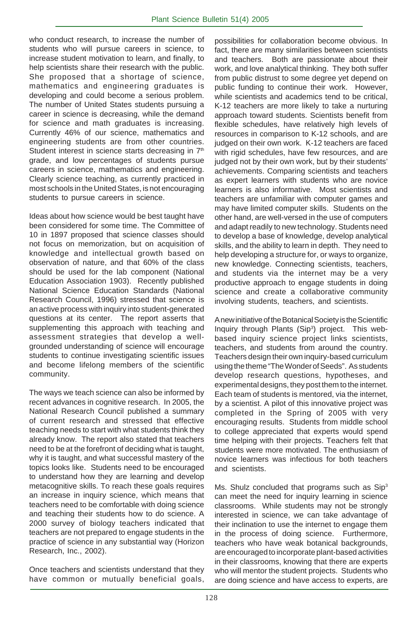who conduct research, to increase the number of students who will pursue careers in science, to increase student motivation to learn, and finally, to help scientists share their research with the public. She proposed that a shortage of science, mathematics and engineering graduates is developing and could become a serious problem. The number of United States students pursuing a career in science is decreasing, while the demand for science and math graduates is increasing. Currently 46% of our science, mathematics and engineering students are from other countries. Student interest in science starts decreasing in  $7<sup>th</sup>$ grade, and low percentages of students pursue careers in science, mathematics and engineering. Clearly science teaching, as currently practiced in most schools in the United States, is not encouraging students to pursue careers in science.

Ideas about how science would be best taught have been considered for some time. The Committee of 10 in 1897 proposed that science classes should not focus on memorization, but on acquisition of knowledge and intellectual growth based on observation of nature, and that 60% of the class should be used for the lab component (National Education Association 1903). Recently published National Science Education Standards (National Research Council, 1996) stressed that science is an active process with inquiry into student-generated questions at its center. The report asserts that supplementing this approach with teaching and assessment strategies that develop a wellgrounded understanding of science will encourage students to continue investigating scientific issues and become lifelong members of the scientific community.

The ways we teach science can also be informed by recent advances in cognitive research. In 2005, the National Research Council published a summary of current research and stressed that effective teaching needs to start with what students think they already know. The report also stated that teachers need to be at the forefront of deciding what is taught, why it is taught, and what successful mastery of the topics looks like. Students need to be encouraged to understand how they are learning and develop metacognitive skills. To reach these goals requires an increase in inquiry science, which means that teachers need to be comfortable with doing science and teaching their students how to do science. A 2000 survey of biology teachers indicated that teachers are not prepared to engage students in the practice of science in any substantial way (Horizon Research, Inc., 2002).

Once teachers and scientists understand that they have common or mutually beneficial goals, possibilities for collaboration become obvious. In fact, there are many similarities between scientists and teachers. Both are passionate about their work, and love analytical thinking. They both suffer from public distrust to some degree yet depend on public funding to continue their work. However, while scientists and academics tend to be critical, K-12 teachers are more likely to take a nurturing approach toward students. Scientists benefit from flexible schedules, have relatively high levels of resources in comparison to K-12 schools, and are judged on their own work. K-12 teachers are faced with rigid schedules, have few resources, and are judged not by their own work, but by their students' achievements. Comparing scientists and teachers as expert learners with students who are novice learners is also informative. Most scientists and teachers are unfamiliar with computer games and may have limited computer skills. Students on the other hand, are well-versed in the use of computers and adapt readily to new technology. Students need to develop a base of knowledge, develop analytical skills, and the ability to learn in depth. They need to help developing a structure for, or ways to organize, new knowledge. Connecting scientists, teachers, and students via the internet may be a very productive approach to engage students in doing science and create a collaborative community involving students, teachers, and scientists.

A new initiative of the Botanical Society is the Scientific Inquiry through Plants (Sip<sup>3</sup>) project. This webbased inquiry science project links scientists, teachers, and students from around the country. Teachers design their own inquiry-based curriculum using the theme "The Wonder of Seeds". As students develop research questions, hypotheses, and experimental designs, they post them to the internet. Each team of students is mentored, via the internet, by a scientist. A pilot of this innovative project was completed in the Spring of 2005 with very encouraging results. Students from middle school to college appreciated that experts would spend time helping with their projects. Teachers felt that students were more motivated. The enthusiasm of novice learners was infectious for both teachers and scientists.

Ms. Shulz concluded that programs such as Sip<sup>3</sup> can meet the need for inquiry learning in science classrooms. While students may not be strongly interested in science, we can take advantage of their inclination to use the internet to engage them in the process of doing science. Furthermore, teachers who have weak botanical backgrounds, are encouraged to incorporate plant-based activities in their classrooms, knowing that there are experts who will mentor the student projects. Students who are doing science and have access to experts, are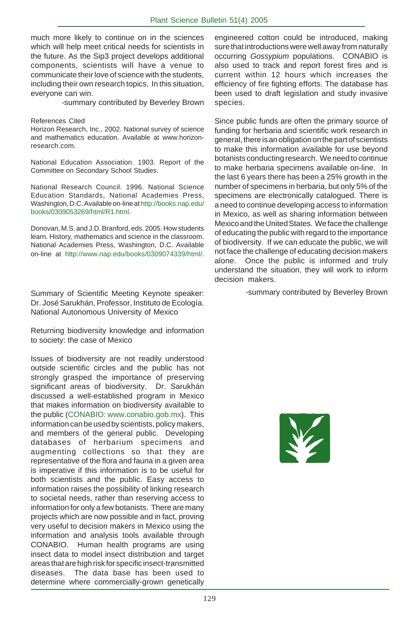much more likely to continue on in the sciences which will help meet critical needs for scientists in the future. As the Sip3 project develops additional components, scientists will have a venue to communicate their love of science with the students, including their own research topics. In this situation, everyone can win.

-summary contributed by Beverley Brown

#### References Cited

Horizon Research, Inc., 2002. National survey of science and mathematics education. Available at www.horizonresearch.com.

National Education Association. 1903. Report of the Committee on Secondary School Studies.

National Research Council. 1996. National Science Education Standards, National Academies Press, Washington, D.C. Available on-line at http://books.nap.edu/ books/0309053269/html/R1.html.

Donovan, M.S. and J.D. Branford, eds. 2005. How students learn. History, mathematics and science in the classroom. National Academies Press, Washington, D.C. Available on-line at http://www.nap.edu/books/0309074339/html/.

Summary of Scientific Meeting Keynote speaker: Dr. José Sarukhán, Professor, Instituto de Ecología. National Autonomous University of Mexico

Returning biodiversity knowledge and information to society: the case of Mexico

Issues of biodiversity are not readily understood outside scientific circles and the public has not strongly grasped the importance of preserving significant areas of biodiversity. Dr. Sarukhán discussed a well-established program in Mexico that makes information on biodiversity available to the public (CONABIO: www.conabio.gob.mx). This information can be used by scientists, policy makers, and members of the general public. Developing databases of herbarium specimens and augmenting collections so that they are representative of the flora and fauna in a given area is imperative if this information is to be useful for both scientists and the public. Easy access to information raises the possibility of linking research to societal needs, rather than reserving access to information for only a few botanists. There are many projects which are now possible and in fact, proving very useful to decision makers in Mexico using the information and analysis tools available through CONABIO. Human health programs are using insect data to model insect distribution and target areas that are high risk for specific insect-transmitted diseases. The data base has been used to determine where commercially-grown genetically

engineered cotton could be introduced, making sure that introductions were well away from naturally occurring *Gossypium* populations. CONABIO is also used to track and report forest fires and is current within 12 hours which increases the efficiency of fire fighting efforts. The database has been used to draft legislation and study invasive species.

Since public funds are often the primary source of funding for herbaria and scientific work research in general, there is an obligation on the part of scientists to make this information available for use beyond botanists conducting research. We need to continue to make herbaria specimens available on-line. In the last 6 years there has been a 25% growth in the number of specimens in herbaria, but only 5% of the specimens are electronically catalogued. There is a need to continue developing access to information in Mexico, as well as sharing information between Mexico and the United States. We face the challenge of educating the public with regard to the importance of biodiversity. If we can educate the public, we will not face the challenge of educating decision makers alone. Once the public is informed and truly understand the situation, they will work to inform decision makers.

-summary contributed by Beverley Brown

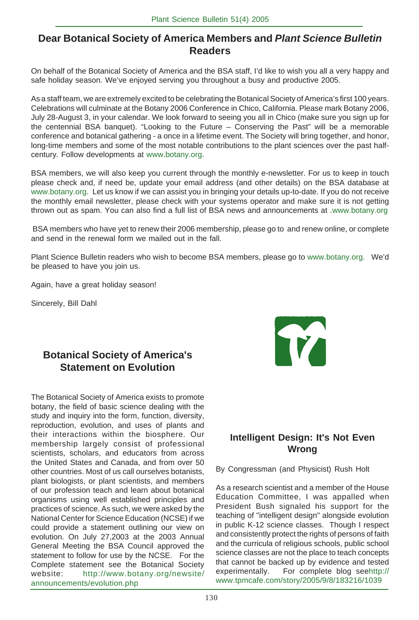#### **Dear Botanical Society of America Members and** *Plant Science Bulletin* **Readers**

On behalf of the Botanical Society of America and the BSA staff, I'd like to wish you all a very happy and safe holiday season. We've enjoyed serving you throughout a busy and productive 2005.

As a staff team, we are extremely excited to be celebrating the Botanical Society of America's first 100 years. Celebrations will culminate at the Botany 2006 Conference in Chico, California. Please mark Botany 2006, July 28-August 3, in your calendar. We look forward to seeing you all in Chico (make sure you sign up for the centennial BSA banquet). "Looking to the Future – Conserving the Past" will be a memorable conference and botanical gathering - a once in a lifetime event. The Society will bring together, and honor, long-time members and some of the most notable contributions to the plant sciences over the past halfcentury. Follow developments at www.botany.org.

BSA members, we will also keep you current through the monthly e-newsletter. For us to keep in touch please check and, if need be, update your email address (and other details) on the BSA database at www.botany.org. Let us know if we can assist you in bringing your details up-to-date. If you do not receive the monthly email newsletter, please check with your systems operator and make sure it is not getting thrown out as spam. You can also find a full list of BSA news and announcements at .www.botany.org

 BSA members who have yet to renew their 2006 membership, please go to and renew online, or complete and send in the renewal form we mailed out in the fall.

Plant Science Bulletin readers who wish to become BSA members, please go to www.botany.org. We'd be pleased to have you join us.

Again, have a great holiday season!

Sincerely, Bill Dahl

#### **Botanical Society of America's Statement on Evolution**

The Botanical Society of America exists to promote botany, the field of basic science dealing with the study and inquiry into the form, function, diversity, reproduction, evolution, and uses of plants and their interactions within the biosphere. Our membership largely consist of professional scientists, scholars, and educators from across the United States and Canada, and from over 50 other countries. Most of us call ourselves botanists, plant biologists, or plant scientists, and members of our profession teach and learn about botanical organisms using well established principles and practices of science. As such, we were asked by the National Center for Science Education (NCSE) if we could provide a statement outlining our view on evolution. On July 27,2003 at the 2003 Annual General Meeting the BSA Council approved the statement to follow for use by the NCSE. For the Complete statement see the Botanical Society website: http://www.botany.org/newsite/ announcements/evolution.php



#### **Intelligent Design: It's Not Even Wrong**

By Congressman (and Physicist) Rush Holt

As a research scientist and a member of the House Education Committee, I was appalled when President Bush signaled his support for the teaching of "intelligent design" alongside evolution in public K-12 science classes. Though I respect and consistently protect the rights of persons of faith and the curricula of religious schools, public school science classes are not the place to teach concepts that cannot be backed up by evidence and tested experimentally. For complete blog seehttp:// www.tpmcafe.com/story/2005/9/8/183216/1039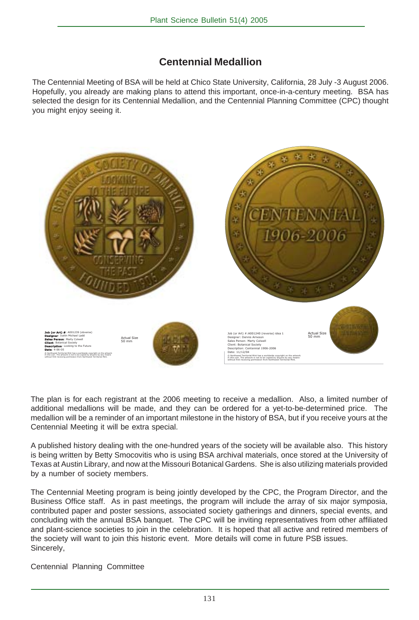#### **Centennial Medallion**

The Centennial Meeting of BSA will be held at Chico State University, California, 28 July -3 August 2006. Hopefully, you already are making plans to attend this important, once-in-a-century meeting. BSA has selected the design for its Centennial Medallion, and the Centennial Planning Committee (CPC) thought you might enjoy seeing it.



The plan is for each registrant at the 2006 meeting to receive a medallion. Also, a limited number of additional medallions will be made, and they can be ordered for a yet-to-be-determined price. The medallion will be a reminder of an important milestone in the history of BSA, but if you receive yours at the Centennial Meeting it will be extra special.

A published history dealing with the one-hundred years of the society will be available also. This history is being written by Betty Smocovitis who is using BSA archival materials, once stored at the University of Texas at Austin Library, and now at the Missouri Botanical Gardens. She is also utilizing materials provided by a number of society members.

The Centennial Meeting program is being jointly developed by the CPC, the Program Director, and the Business Office staff. As in past meetings, the program will include the array of six major symposia, contributed paper and poster sessions, associated society gatherings and dinners, special events, and concluding with the annual BSA banquet. The CPC will be inviting representatives from other affiliated and plant-science societies to join in the celebration. It is hoped that all active and retired members of the society will want to join this historic event. More details will come in future PSB issues. Sincerely,

Centennial Planning Committee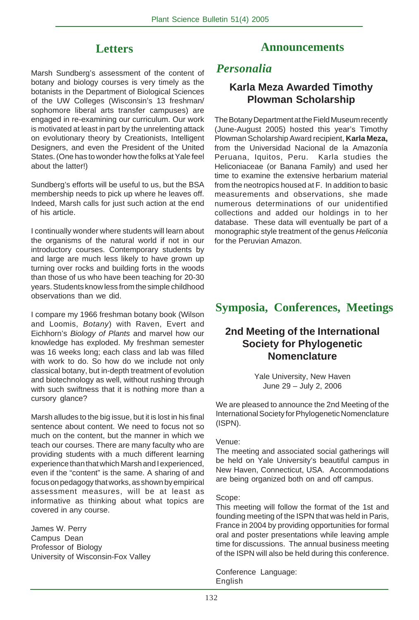#### **Letters**

Marsh Sundberg's assessment of the content of botany and biology courses is very timely as the botanists in the Department of Biological Sciences of the UW Colleges (Wisconsin's 13 freshman/ sophomore liberal arts transfer campuses) are engaged in re-examining our curriculum. Our work is motivated at least in part by the unrelenting attack on evolutionary theory by Creationists, Intelligent Designers, and even the President of the United States. (One has to wonder how the folks at Yale feel about the latter!)

Sundberg's efforts will be useful to us, but the BSA membership needs to pick up where he leaves off. Indeed, Marsh calls for just such action at the end of his article.

I continually wonder where students will learn about the organisms of the natural world if not in our introductory courses. Contemporary students by and large are much less likely to have grown up turning over rocks and building forts in the woods than those of us who have been teaching for 20-30 years. Students know less from the simple childhood observations than we did.

I compare my 1966 freshman botany book (Wilson and Loomis, *Botany*) with Raven, Evert and Eichhorn's *Biology of Plants* and marvel how our knowledge has exploded. My freshman semester was 16 weeks long; each class and lab was filled with work to do. So how do we include not only classical botany, but in-depth treatment of evolution and biotechnology as well, without rushing through with such swiftness that it is nothing more than a cursory glance?

Marsh alludes to the big issue, but it is lost in his final sentence about content. We need to focus not so much on the content, but the manner in which we teach our courses. There are many faculty who are providing students with a much different learning experience than that which Marsh and I experienced, even if the "content" is the same. A sharing of and focus on pedagogy that works, as shown by empirical assessment measures, will be at least as informative as thinking about what topics are covered in any course.

James W. Perry Campus Dean Professor of Biology University of Wisconsin-Fox Valley

#### **Announcements**

#### *Personalia*

#### **Karla Meza Awarded Timothy Plowman Scholarship**

The Botany Department at the Field Museum recently (June-August 2005) hosted this year's Timothy Plowman Scholarship Award recipient, **Karla Meza,** from the Universidad Nacional de la Amazonía Peruana, Iquitos, Peru. Karla studies the Heliconiaceae (or Banana Family) and used her time to examine the extensive herbarium material from the neotropics housed at F. In addition to basic measurements and observations, she made numerous determinations of our unidentified collections and added our holdings in to her database. These data will eventually be part of a monographic style treatment of the genus *Heliconia* for the Peruvian Amazon.

#### **Symposia, Conferences, Meetings**

#### **2nd Meeting of the International Society for Phylogenetic Nomenclature**

Yale University, New Haven June 29 – July 2, 2006

We are pleased to announce the 2nd Meeting of the International Society for Phylogenetic Nomenclature (ISPN).

#### Venue:

The meeting and associated social gatherings will be held on Yale University's beautiful campus in New Haven, Connecticut, USA. Accommodations are being organized both on and off campus.

#### Scope:

This meeting will follow the format of the 1st and founding meeting of the ISPN that was held in Paris, France in 2004 by providing opportunities for formal oral and poster presentations while leaving ample time for discussions. The annual business meeting of the ISPN will also be held during this conference.

Conference Language: English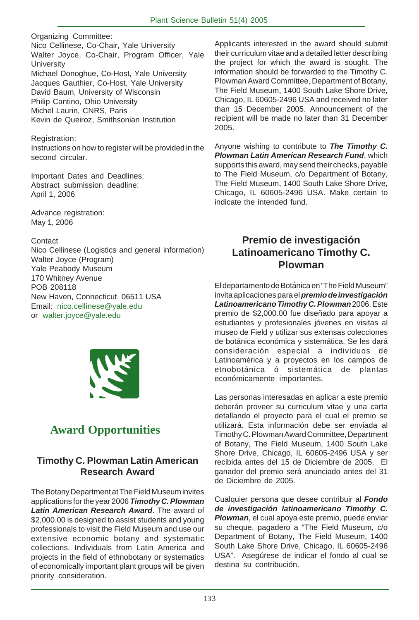Organizing Committee: Nico Cellinese, Co-Chair, Yale University Walter Joyce, Co-Chair, Program Officer, Yale **University** Michael Donoghue, Co-Host, Yale University Jacques Gauthier, Co-Host, Yale University David Baum, University of Wisconsin Philip Cantino, Ohio University Michel Laurin, CNRS, Paris Kevin de Queiroz, Smithsonian Institution

Registration: Instructions on how to register will be provided in the second circular.

Important Dates and Deadlines: Abstract submission deadline: April 1, 2006

Advance registration: May 1, 2006

#### Contact

Nico Cellinese (Logistics and general information) Walter Joyce (Program) Yale Peabody Museum 170 Whitney Avenue POB 208118 New Haven, Connecticut, 06511 USA Email: nico.cellinese@yale.edu or walter.joyce@yale.edu



#### **Award Opportunities**

#### **Timothy C. Plowman Latin American Research Award**

The Botany Department at The Field Museum invites applications for the year 2006 *Timothy C. Plowman Latin American Research Award*. The award of \$2,000.00 is designed to assist students and young professionals to visit the Field Museum and use our extensive economic botany and systematic collections. Individuals from Latin America and projects in the field of ethnobotany or systematics of economically important plant groups will be given priority consideration.

Applicants interested in the award should submit their curriculum vitae and a detailed letter describing the project for which the award is sought. The information should be forwarded to the Timothy C. Plowman Award Committee, Department of Botany, The Field Museum, 1400 South Lake Shore Drive, Chicago, IL 60605-2496 USA and received no later than 15 December 2005. Announcement of the recipient will be made no later than 31 December 2005.

Anyone wishing to contribute to *The Timothy C. Plowman Latin American Research Fund*, which supports this award, may send their checks, payable to The Field Museum, c/o Department of Botany, The Field Museum, 1400 South Lake Shore Drive, Chicago, IL 60605-2496 USA. Make certain to indicate the intended fund.

#### **Premio de investigación Latinoamericano Timothy C. Plowman**

El departamento de Botánica en "The Field Museum" invita aplicaciones para el *premio de investigación Latinoamericano Timothy C. Plowman* 2006. Este premio de \$2,000.00 fue diseñado para apoyar a estudiantes y profesionales jóvenes en visitas al museo de Field y utilizar sus extensas colecciones de botánica económica y sistemática. Se les dará consideración especial a individuos de Latinoamérica y a proyectos en los campos de etnobotánica ó sistemática de plantas económicamente importantes.

Las personas interesadas en aplicar a este premio deberán proveer su curriculum vitae y una carta detallando el proyecto para el cual el premio se utilizará. Esta información debe ser enviada al Timothy C. Plowman Award Committee, Department of Botany, The Field Museum, 1400 South Lake Shore Drive, Chicago, IL 60605-2496 USA y ser recibida antes del 15 de Diciembre de 2005. El ganador del premio será anunciado antes del 31 de Diciembre de 2005.

Cualquier persona que desee contribuir al *Fondo de investigación latinoamericano Timothy C. Plowman*, el cual apoya este premio, puede enviar su cheque, pagadero a "The Field Museum, c/o Department of Botany, The Field Museum, 1400 South Lake Shore Drive, Chicago, IL 60605-2496 USA". Asegúrese de indicar el fondo al cual se destina su contribución.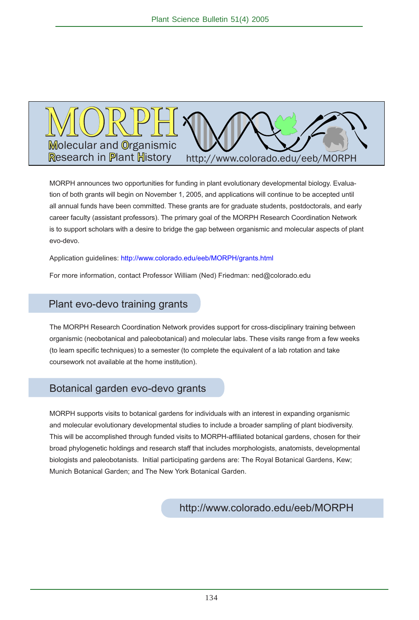

MORPH announces two opportunities for funding in plant evolutionary developmental biology. Evaluation of both grants will begin on November 1, 2005, and applications will continue to be accepted until all annual funds have been committed. These grants are for graduate students, postdoctorals, and early career faculty (assistant professors). The primary goal of the MORPH Research Coordination Network is to support scholars with a desire to bridge the gap between organismic and molecular aspects of plant evo-devo.

Application quidelines: http://www.colorado.edu/eeb/MORPH/grants.html

For more information, contact Professor William (Ned) Friedman: ned@colorado.edu

#### Plant evo-devo training grants

The MORPH Research Coordination Network provides support for cross-disciplinary training between organismic (neobotanical and paleobotanical) and molecular labs. These visits range from a few weeks (to learn specific techniques) to a semester (to complete the equivalent of a lab rotation and take coursework not available at the home institution).

#### Botanical garden evo-devo grants

MORPH supports visits to botanical gardens for individuals with an interest in expanding organismic and molecular evolutionary developmental studies to include a broader sampling of plant biodiversity. This will be accomplished through funded visits to MORPH-affiliated botanical gardens, chosen for their broad phylogenetic holdings and research staff that includes morphologists, anatomists, developmental biologists and paleobotanists. Initial participating gardens are: The Royal Botanical Gardens, Kew; Munich Botanical Garden; and The New York Botanical Garden.

http://www.colorado.edu/eeb/MORPH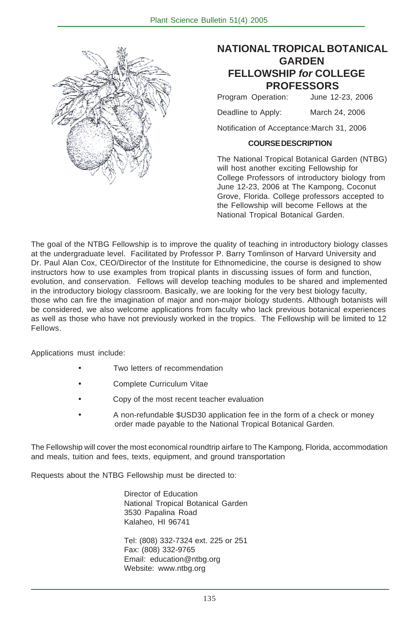

#### **NATIONAL TROPICAL BOTANICAL GARDEN FELLOWSHIP** *for* **COLLEGE PROFESSORS**

Program Operation: June 12-23, 2006

Deadline to Apply: March 24, 2006

Notification of Acceptance:March 31, 2006

#### **COURSE DESCRIPTION**

The National Tropical Botanical Garden (NTBG) will host another exciting Fellowship for College Professors of introductory biology from June 12-23, 2006 at The Kampong, Coconut Grove, Florida. College professors accepted to the Fellowship will become Fellows at the National Tropical Botanical Garden.

The goal of the NTBG Fellowship is to improve the quality of teaching in introductory biology classes at the undergraduate level. Facilitated by Professor P. Barry Tomlinson of Harvard University and Dr. Paul Alan Cox, CEO/Director of the Institute for Ethnomedicine, the course is designed to show instructors how to use examples from tropical plants in discussing issues of form and function, evolution, and conservation. Fellows will develop teaching modules to be shared and implemented in the introductory biology classroom. Basically, we are looking for the very best biology faculty, those who can fire the imagination of major and non-major biology students. Although botanists will be considered, we also welcome applications from faculty who lack previous botanical experiences as well as those who have not previously worked in the tropics. The Fellowship will be limited to 12 Fellows.

Applications must include:

- Two letters of recommendation
- Complete Curriculum Vitae
- Copy of the most recent teacher evaluation
- A non-refundable \$USD30 application fee in the form of a check or money order made payable to the National Tropical Botanical Garden.

The Fellowship will cover the most economical roundtrip airfare to The Kampong, Florida, accommodation and meals, tuition and fees, texts, equipment, and ground transportation

Requests about the NTBG Fellowship must be directed to:

Director of Education National Tropical Botanical Garden 3530 Papalina Road Kalaheo, HI 96741

Tel: (808) 332-7324 ext. 225 or 251 Fax: (808) 332-9765 Email: education@ntbg.org Website: www.ntbg.org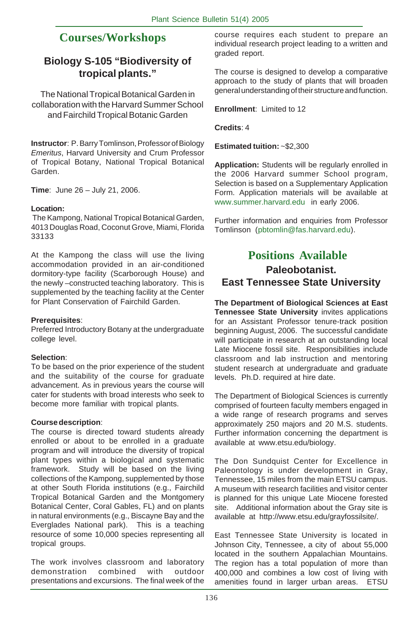#### **Courses/Workshops**

#### **Biology S-105 "Biodiversity of tropical plants."**

The National Tropical Botanical Garden in collaboration with the Harvard Summer School and Fairchild Tropical Botanic Garden

**Instructor**: P. Barry Tomlinson, Professor of Biology *Emeritus*, Harvard University and Crum Professor of Tropical Botany, National Tropical Botanical Garden.

**Time**: June 26 – July 21, 2006.

#### **Location:**

 The Kampong, National Tropical Botanical Garden, 4013 Douglas Road, Coconut Grove, Miami, Florida 33133

At the Kampong the class will use the living accommodation provided in an air-conditioned dormitory-type facility (Scarborough House) and the newly –constructed teaching laboratory. This is supplemented by the teaching facility at the Center for Plant Conservation of Fairchild Garden.

#### **Prerequisites**:

Preferred Introductory Botany at the undergraduate college level.

#### **Selection**:

To be based on the prior experience of the student and the suitability of the course for graduate advancement. As in previous years the course will cater for students with broad interests who seek to become more familiar with tropical plants.

#### **Course description**:

The course is directed toward students already enrolled or about to be enrolled in a graduate program and will introduce the diversity of tropical plant types within a biological and systematic framework. Study will be based on the living collections of the Kampong, supplemented by those at other South Florida institutions (e.g., Fairchild Tropical Botanical Garden and the Montgomery Botanical Center, Coral Gables, FL) and on plants in natural environments (e.g., Biscayne Bay and the Everglades National park). This is a teaching resource of some 10,000 species representing all tropical groups.

The work involves classroom and laboratory demonstration combined with outdoor presentations and excursions. The final week of the course requires each student to prepare an individual research project leading to a written and graded report.

The course is designed to develop a comparative approach to the study of plants that will broaden general understanding of their structure and function.

**Enrollment**: Limited to 12

**Credits**: 4

**Estimated tuition:** ~\$2,300

**Application:** Students will be regularly enrolled in the 2006 Harvard summer School program, Selection is based on a Supplementary Application Form. Application materials will be available at www.summer.harvard.edu in early 2006.

Further information and enquiries from Professor Tomlinson (pbtomlin@fas.harvard.edu).

#### **Positions Available Paleobotanist. East Tennessee State University**

**The Department of Biological Sciences at East Tennessee State University** invites applications for an Assistant Professor tenure-track position beginning August, 2006. The successful candidate will participate in research at an outstanding local Late Miocene fossil site. Responsibilities include classroom and lab instruction and mentoring student research at undergraduate and graduate levels. Ph.D. required at hire date.

The Department of Biological Sciences is currently comprised of fourteen faculty members engaged in a wide range of research programs and serves approximately 250 majors and 20 M.S. students. Further information concerning the department is available at www.etsu.edu/biology.

The Don Sundquist Center for Excellence in Paleontology is under development in Gray, Tennessee, 15 miles from the main ETSU campus. A museum with research facilities and visitor center is planned for this unique Late Miocene forested site. Additional information about the Gray site is available at http://www.etsu.edu/grayfossilsite/.

East Tennessee State University is located in Johnson City, Tennessee, a city of about 55,000 located in the southern Appalachian Mountains. The region has a total population of more than 400,000 and combines a low cost of living with amenities found in larger urban areas. ETSU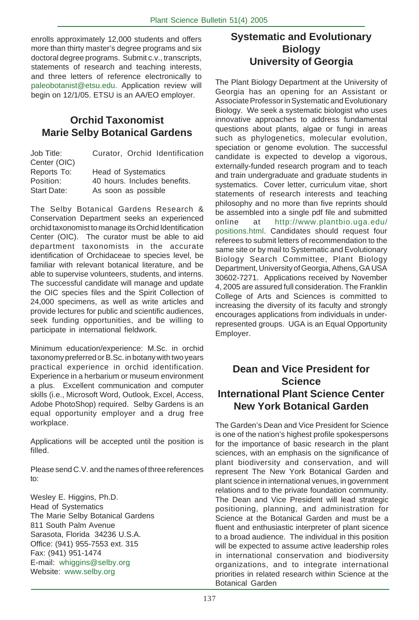enrolls approximately 12,000 students and offers more than thirty master's degree programs and six doctoral degree programs. Submit c.v., transcripts, statements of research and teaching interests, and three letters of reference electronically to paleobotanist@etsu.edu. Application review will begin on 12/1/05. ETSU is an AA/EO employer.

#### **Orchid Taxonomist Marie Selby Botanical Gardens**

| Job Title:   | Curator, Orchid Identification |
|--------------|--------------------------------|
| Center (OIC) |                                |
| Reports To:  | <b>Head of Systematics</b>     |
| Position:    | 40 hours. Includes benefits.   |
| Start Date:  | As soon as possible            |
|              |                                |

The Selby Botanical Gardens Research & Conservation Department seeks an experienced orchid taxonomist to manage its Orchid Identification Center (OIC). The curator must be able to aid department taxonomists in the accurate identification of Orchidaceae to species level, be familiar with relevant botanical literature, and be able to supervise volunteers, students, and interns. The successful candidate will manage and update the OIC species files and the Spirit Collection of 24,000 specimens, as well as write articles and provide lectures for public and scientific audiences, seek funding opportunities, and be willing to participate in international fieldwork.

Minimum education/experience: M.Sc. in orchid taxonomy preferred or B.Sc. in botany with two years practical experience in orchid identification. Experience in a herbarium or museum environment a plus. Excellent communication and computer skills (i.e., Microsoft Word, Outlook, Excel, Access, Adobe PhotoShop) required. Selby Gardens is an equal opportunity employer and a drug free workplace.

Applications will be accepted until the position is filled.

Please send C.V. and the names of three references to:

Wesley E. Higgins, Ph.D. Head of Systematics The Marie Selby Botanical Gardens 811 South Palm Avenue Sarasota, Florida 34236 U.S.A. Office: (941) 955-7553 ext. 315 Fax: (941) 951-1474 E-mail: whiggins@selby.org Website: www.selby.org

#### **Systematic and Evolutionary Biology University of Georgia**

The Plant Biology Department at the University of Georgia has an opening for an Assistant or Associate Professor in Systematic and Evolutionary Biology. We seek a systematic biologist who uses innovative approaches to address fundamental questions about plants, algae or fungi in areas such as phylogenetics, molecular evolution, speciation or genome evolution. The successful candidate is expected to develop a vigorous, externally-funded research program and to teach and train undergraduate and graduate students in systematics. Cover letter, curriculum vitae, short statements of research interests and teaching philosophy and no more than five reprints should be assembled into a single pdf file and submitted online at http://www.plantbio.uga.edu/ positions.html. Candidates should request four referees to submit letters of recommendation to the same site or by mail to Systematic and Evolutionary Biology Search Committee, Plant Biology Department, University of Georgia, Athens, GA USA 30602-7271. Applications received by November 4, 2005 are assured full consideration. The Franklin College of Arts and Sciences is committed to increasing the diversity of its faculty and strongly encourages applications from individuals in underrepresented groups. UGA is an Equal Opportunity Employer.

#### **Dean and Vice President for Science International Plant Science Center New York Botanical Garden**

The Garden's Dean and Vice President for Science is one of the nation's highest profile spokespersons for the importance of basic research in the plant sciences, with an emphasis on the significance of plant biodiversity and conservation, and will represent The New York Botanical Garden and plant science in international venues, in government relations and to the private foundation community. The Dean and Vice President will lead strategic positioning, planning, and administration for Science at the Botanical Garden and must be a fluent and enthusiastic interpreter of plant sicence to a broad audience. The individual in this position will be expected to assume active leadership roles in international conservation and biodiversity organizations, and to integrate international priorities in related research within Science at the Botanical Garden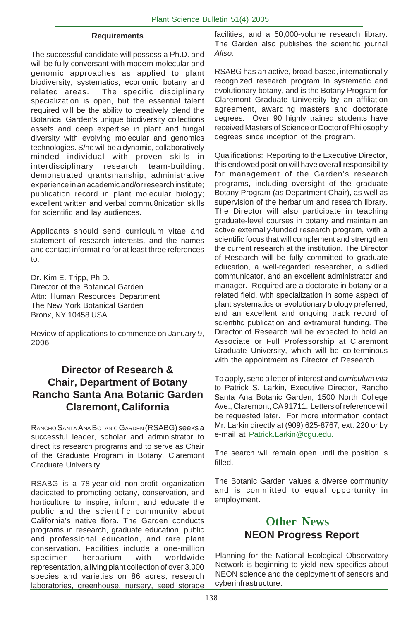#### **Requirements**

The successful candidate will possess a Ph.D. and will be fully conversant with modern molecular and genomic approaches as applied to plant biodiversity, systematics, economic botany and related areas. The specific disciplinary specialization is open, but the essential talent required will be the ability to creatively blend the Botanical Garden's unique biodiversity collections assets and deep expertise in plant and fungal diversity with evolving molecular and genomics technologies. S/he will be a dynamic, collaboratively minded individual with proven skills in interdisciplinary research team-building; demonstrated grantsmanship; administrative experience in an academic and/or research institute; publication record in plant molecular biology; excellent written and verbal commu8nication skills for scientific and lay audiences.

Applicants should send curriculum vitae and statement of research interests, and the names and contact informatino for at least three references to:

Dr. Kim E. Tripp, Ph.D. Director of the Botanical Garden Attn: Human Resources Department The New York Botanical Garden Bronx, NY 10458 USA

Review of applications to commence on January 9, 2006

#### **Director of Research & Chair, Department of Botany Rancho Santa Ana Botanic Garden Claremont, California**

RANCHO SANTA ANA BOTANIC GARDEN (RSABG) seeks a successful leader, scholar and administrator to direct its research programs and to serve as Chair of the Graduate Program in Botany, Claremont Graduate University.

RSABG is a 78-year-old non-profit organization dedicated to promoting botany, conservation, and horticulture to inspire, inform, and educate the public and the scientific community about California's native flora. The Garden conducts programs in research, graduate education, public and professional education, and rare plant conservation. Facilities include a one-million specimen herbarium with worldwide representation, a living plant collection of over 3,000 species and varieties on 86 acres, research laboratories, greenhouse, nursery, seed storage

facilities, and a 50,000-volume research library. The Garden also publishes the scientific journal *Aliso*.

RSABG has an active, broad-based, internationally recognized research program in systematic and evolutionary botany, and is the Botany Program for Claremont Graduate University by an affiliation agreement, awarding masters and doctorate degrees. Over 90 highly trained students have received Masters of Science or Doctor of Philosophy degrees since inception of the program.

Qualifications: Reporting to the Executive Director, this endowed position will have overall responsibility for management of the Garden's research programs, including oversight of the graduate Botany Program (as Department Chair), as well as supervision of the herbarium and research library. The Director will also participate in teaching graduate-level courses in botany and maintain an active externally-funded research program, with a scientific focus that will complement and strengthen the current research at the institution. The Director of Research will be fully committed to graduate education, a well-regarded researcher, a skilled communicator, and an excellent administrator and manager. Required are a doctorate in botany or a related field, with specialization in some aspect of plant systematics or evolutionary biology preferred, and an excellent and ongoing track record of scientific publication and extramural funding. The Director of Research will be expected to hold an Associate or Full Professorship at Claremont Graduate University, which will be co-terminous with the appointment as Director of Research.

To apply, send a letter of interest and *curriculum vita* to Patrick S. Larkin, Executive Director, Rancho Santa Ana Botanic Garden, 1500 North College Ave., Claremont, CA 91711. Letters of reference will be requested later. For more information contact Mr. Larkin directly at (909) 625-8767, ext. 220 or by e-mail at Patrick.Larkin@cgu.edu.

The search will remain open until the position is filled.

The Botanic Garden values a diverse community and is committed to equal opportunity in employment.

#### **Other News NEON Progress Report**

Planning for the National Ecological Observatory Network is beginning to yield new specifics about NEON science and the deployment of sensors and cyberinfrastructure.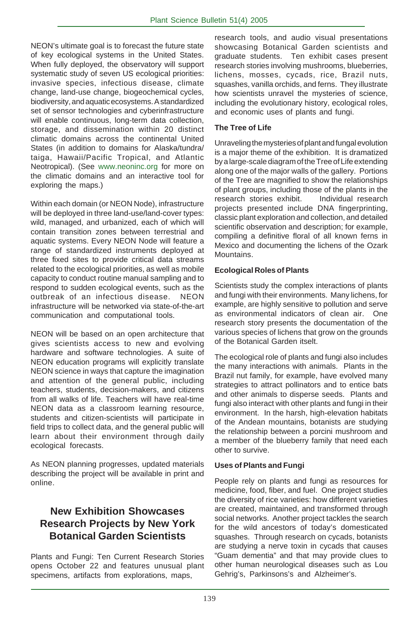NEON's ultimate goal is to forecast the future state of key ecological systems in the United States. When fully deployed, the observatory will support systematic study of seven US ecological priorities: invasive species, infectious disease, climate change, land-use change, biogeochemical cycles, biodiversity, and aquatic ecosystems. A standardized set of sensor technologies and cyberinfrastructure will enable continuous, long-term data collection, storage, and dissemination within 20 distinct climatic domains across the continental United States (in addition to domains for Alaska/tundra/ taiga, Hawaii/Pacific Tropical, and Atlantic Neotropical). (See www.neoninc.org for more on the climatic domains and an interactive tool for exploring the maps.)

Within each domain (or NEON Node), infrastructure will be deployed in three land-use/land-cover types: wild, managed, and urbanized, each of which will contain transition zones between terrestrial and aquatic systems. Every NEON Node will feature a range of standardized instruments deployed at three fixed sites to provide critical data streams related to the ecological priorities, as well as mobile capacity to conduct routine manual sampling and to respond to sudden ecological events, such as the outbreak of an infectious disease. NEON infrastructure will be networked via state-of-the-art communication and computational tools.

NEON will be based on an open architecture that gives scientists access to new and evolving hardware and software technologies. A suite of NEON education programs will explicitly translate NEON science in ways that capture the imagination and attention of the general public, including teachers, students, decision-makers, and citizens from all walks of life. Teachers will have real-time NEON data as a classroom learning resource, students and citizen-scientists will participate in field trips to collect data, and the general public will learn about their environment through daily ecological forecasts.

As NEON planning progresses, updated materials describing the project will be available in print and online.

#### **New Exhibition Showcases Research Projects by New York Botanical Garden Scientists**

Plants and Fungi: Ten Current Research Stories opens October 22 and features unusual plant specimens, artifacts from explorations, maps,

research tools, and audio visual presentations showcasing Botanical Garden scientists and graduate students. Ten exhibit cases present research stories involving mushrooms, blueberries, lichens, mosses, cycads, rice, Brazil nuts, squashes, vanilla orchids, and ferns. They illustrate how scientists unravel the mysteries of science, including the evolutionary history, ecological roles, and economic uses of plants and fungi.

#### **The Tree of Life**

Unraveling the mysteries of plant and fungal evolution is a major theme of the exhibition. It is dramatized by a large-scale diagram of the Tree of Life extending along one of the major walls of the gallery. Portions of the Tree are magnified to show the relationships of plant groups, including those of the plants in the research stories exhibit. Individual research projects presented include DNA fingerprinting, classic plant exploration and collection, and detailed scientific observation and description; for example, compiling a definitive floral of all known ferns in Mexico and documenting the lichens of the Ozark Mountains.

#### **Ecological Roles of Plants**

Scientists study the complex interactions of plants and fungi with their environments. Many lichens, for example, are highly sensitive to pollution and serve as environmental indicators of clean air. One research story presents the documentation of the various species of lichens that grow on the grounds of the Botanical Garden itselt.

The ecological role of plants and fungi also includes the many interactions with animals. Plants in the Brazil nut family, for example, have evolved many strategies to attract pollinators and to entice bats and other animals to disperse seeds. Plants and fungi also interact with other plants and fungi in their environment. In the harsh, high-elevation habitats of the Andean mountains, botanists are studying the relationship between a porcini mushroom and a member of the blueberry family that need each other to survive.

#### **Uses of Plants and Fungi**

People rely on plants and fungi as resources for medicine, food, fiber, and fuel. One project studies the diversity of rice varieties: how different varieties are created, maintained, and transformed through social networks. Another project tackles the search for the wild ancestors of today's domesticated squashes. Through research on cycads, botanists are studying a nerve toxin in cycads that causes "Guam dementia" and that may provide clues to other human neurological diseases such as Lou Gehrig's, Parkinsons's and Alzheimer's.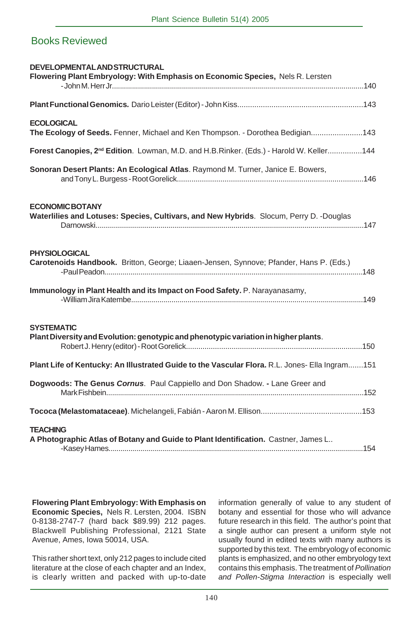#### Books Reviewed

| <b>DEVELOPMENTAL AND STRUCTURAL</b><br>Flowering Plant Embryology: With Emphasis on Economic Species, Nels R. Lersten |
|-----------------------------------------------------------------------------------------------------------------------|
|                                                                                                                       |
| <b>ECOLOGICAL</b><br>The Ecology of Seeds. Fenner, Michael and Ken Thompson. - Dorothea Bedigian143                   |
| Forest Canopies, 2 <sup>nd</sup> Edition. Lowman, M.D. and H.B.Rinker. (Eds.) - Harold W. Keller144                   |
| Sonoran Desert Plants: An Ecological Atlas. Raymond M. Turner, Janice E. Bowers,                                      |
| <b>ECONOMIC BOTANY</b><br>Waterlilies and Lotuses: Species, Cultivars, and New Hybrids. Slocum, Perry D. -Douglas     |
| <b>PHYSIOLOGICAL</b><br>Carotenoids Handbook. Britton, George; Liaaen-Jensen, Synnove; Pfander, Hans P. (Eds.)        |
| Immunology in Plant Health and its Impact on Food Safety. P. Narayanasamy,                                            |
| <b>SYSTEMATIC</b><br>Plant Diversity and Evolution: genotypic and phenotypic variation in higher plants.              |
| Plant Life of Kentucky: An Illustrated Guide to the Vascular Flora. R.L. Jones- Ella Ingram151                        |
| Dogwoods: The Genus Cornus. Paul Cappiello and Don Shadow. - Lane Greer and                                           |
|                                                                                                                       |
| <b>TEACHING</b><br>A Photographic Atlas of Botany and Guide to Plant Identification. Castner, James L                 |

**Flowering Plant Embryology: With Emphasis on Economic Species,** Nels R. Lersten, 2004. ISBN 0-8138-2747-7 (hard back \$89.99) 212 pages. Blackwell Publishing Professional, 2121 State Avenue, Ames, Iowa 50014, USA.

This rather short text, only 212 pages to include cited literature at the close of each chapter and an Index, is clearly written and packed with up-to-date information generally of value to any student of botany and essential for those who will advance future research in this field. The author's point that a single author can present a uniform style not usually found in edited texts with many authors is supported by this text. The embryology of economic plants is emphasized, and no other embryology text contains this emphasis. The treatment of *Pollination and Pollen-Stigma Interaction* is especially well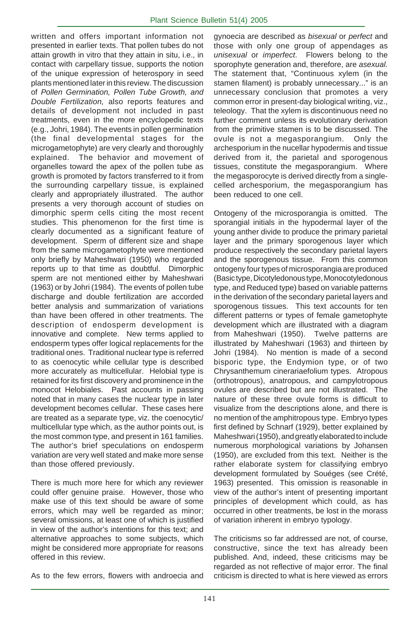written and offers important information not presented in earlier texts. That pollen tubes do not attain growth in vitro that they attain in situ, i.e., in contact with carpellary tissue, supports the notion of the unique expression of heterospory in seed plants mentioned later in this review. The discussion of *Pollen Germination, Pollen Tube Growth, and Double Fertilization,* also reports features and details of development not included in past treatments, even in the more encyclopedic texts (e.g., Johri, 1984). The events in pollen germination (the final developmental stages for the microgametophyte) are very clearly and thoroughly explained. The behavior and movement of organelles toward the apex of the pollen tube as growth is promoted by factors transferred to it from the surrounding carpellary tissue, is explained clearly and appropriately illustrated. The author presents a very thorough account of studies on dimorphic sperm cells citing the most recent studies. This phenomenon for the first time is clearly documented as a significant feature of development. Sperm of different size and shape from the same microgametophyte were mentioned only briefly by Maheshwari (1950) who regarded reports up to that time as doubtful. Dimorphic sperm are not mentioned either by Maheshwari (1963) or by Johri (1984). The events of pollen tube discharge and double fertilization are accorded better analysis and summarization of variations than have been offered in other treatments. The description of endosperm development is innovative and complete. New terms applied to endosperm types offer logical replacements for the traditional ones. Traditional nuclear type is referred to as coenocytic while cellular type is described more accurately as multicellular. Helobial type is retained for its first discovery and prominence in the monocot Helobiales. Past accounts in passing noted that in many cases the nuclear type in later development becomes cellular. These cases here are treated as a separate type, viz. the coenocytic/ multicellular type which, as the author points out, is the most common type, and present in 161 families. The author's brief speculations on endosperm variation are very well stated and make more sense than those offered previously.

There is much more here for which any reviewer could offer genuine praise. However, those who make use of this text should be aware of some errors, which may well be regarded as minor; several omissions, at least one of which is justified in view of the author's intentions for this text; and alternative approaches to some subjects, which might be considered more appropriate for reasons offered in this review.

As to the few errors, flowers with androecia and

gynoecia are described as *bisexual* or *perfect* and those with only one group of appendages as *unisexual* or *imperfect*. Flowers belong to the sporophyte generation and, therefore, are *asexual.* The statement that, "Continuous xylem (in the stamen filament) is probably unnecessary..." is an unnecessary conclusion that promotes a very common error in present-day biological writing, viz., teleology. That the xylem is discontinuous need no further comment unless its evolutionary derivation from the primitive stamen is to be discussed. The ovule is not a megasporangium. Only the archesporium in the nucellar hypodermis and tissue derived from it, the parietal and sporogenous tissues, constitute the megasporangium. Where the megasporocyte is derived directly from a singlecelled archesporium, the megasporangium has been reduced to one cell.

Ontogeny of the microsporangia is omitted. The sporangial initials in the hypodermal layer of the young anther divide to produce the primary parietal layer and the primary sporogenous layer which produce respectively the secondary parietal layers and the sporogenous tissue. From this common ontogeny four types of microsporangia are produced (Basic type, Dicotyledonous type, Monocotyledonous type, and Reduced type) based on variable patterns in the derivation of the secondary parietal layers and sporogenous tissues. This text accounts for ten different patterns or types of female gametophyte development which are illustrated with a diagram from Maheshwari (1950). Twelve patterns are illustrated by Maheshwari (1963) and thirteen by Johri (1984). No mention is made of a second bisporic type, the Endymion type, or of two Chrysanthemum cinerariaefolium types. Atropous (orthotropous), anatropous, and campylotropous ovules are described but are not illustrated. The nature of these three ovule forms is difficult to visualize from the descriptions alone, and there is no mention of the amphitropous type. Embryo types first defined by Schnarf (1929), better explained by Maheshwari (1950), and greatly elaborated to include numerous morphological variations by Johansen (1950), are excluded from this text. Neither is the rather elaborate system for classifying embryo development formulated by Souéges (see Crété, 1963) presented. This omission is reasonable in view of the author's intent of presenting important principles of development which could, as has occurred in other treatments, be lost in the morass of variation inherent in embryo typology.

The criticisms so far addressed are not, of course, constructive, since the text has already been published. And, indeed, these criticisms may be regarded as not reflective of major error. The final criticism is directed to what is here viewed as errors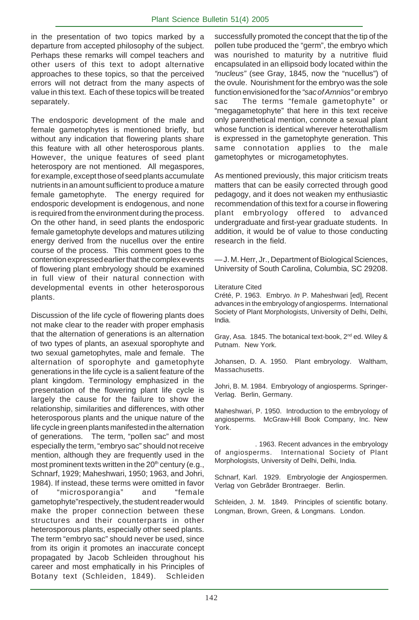in the presentation of two topics marked by a departure from accepted philosophy of the subject. Perhaps these remarks will compel teachers and other users of this text to adopt alternative approaches to these topics, so that the perceived errors will not detract from the many aspects of value in this text. Each of these topics will be treated separately.

The endosporic development of the male and female gametophytes is mentioned briefly, but without any indication that flowering plants share this feature with all other heterosporous plants. However, the unique features of seed plant heterospory are not mentioned. All megaspores, for example, except those of seed plants accumulate nutrients in an amount sufficient to produce a mature female gametophyte. The energy required for endosporic development is endogenous, and none is required from the environment during the process. On the other hand, in seed plants the endosporic female gametophyte develops and matures utilizing energy derived from the nucellus over the entire course of the process. This comment goes to the contention expressed earlier that the complex events of flowering plant embryology should be examined in full view of their natural connection with developmental events in other heterosporous plants.

Discussion of the life cycle of flowering plants does not make clear to the reader with proper emphasis that the alternation of generations is an alternation of two types of plants, an asexual sporophyte and two sexual gametophytes, male and female. The alternation of sporophyte and gametophyte generations in the life cycle is a salient feature of the plant kingdom. Terminology emphasized in the presentation of the flowering plant life cycle is largely the cause for the failure to show the relationship, similarities and differences, with other heterosporous plants and the unique nature of the life cycle in green plants manifested in the alternation of generations. The term, "pollen sac" and most especially the term, "embryo sac" should not receive mention, although they are frequently used in the most prominent texts written in the  $20<sup>th</sup>$  century (e.g., Schnarf, 1929; Maheshwari, 1950; 1963, and Johri, 1984). If instead, these terms were omitted in favor of "microsporangia" and "female gametophyte"respectively, the student reader would make the proper connection between these structures and their counterparts in other heterosporous plants, especially other seed plants. The term "embryo sac" should never be used, since from its origin it promotes an inaccurate concept propagated by Jacob Schleiden throughout his career and most emphatically in his Principles of Botany text (Schleiden, 1849). Schleiden successfully promoted the concept that the tip of the pollen tube produced the "germ", the embryo which was nourished to maturity by a nutritive fluid encapsulated in an ellipsoid body located within the *"nucleus"* (see Gray, 1845, now the "nucellus") of the ovule. Nourishment for the embryo was the sole function envisioned for the *"sac of Amnios"* or embryo sac The terms "female gametophyte" or "megagametophyte" that here in this text receive only parenthetical mention, connote a sexual plant whose function is identical wherever heterothallism is expressed in the gametophyte generation. This same connotation applies to the male gametophytes or microgametophytes.

As mentioned previously, this major criticism treats matters that can be easily corrected through good pedagogy, and it does not weaken my enthusiastic recommendation of this text for a course in flowering plant embryology offered to advanced undergraduate and first-year graduate students. In addition, it would be of value to those conducting research in the field.

— J. M. Herr, Jr., Department of Biological Sciences, University of South Carolina, Columbia, SC 29208.

#### Literature Cited

Crété, P. 1963. Embryo. *In* P. Maheshwari [ed], Recent advances in the embryology of angiosperms. International Society of Plant Morphologists, University of Delhi, Delhi, India.

Gray, Asa. 1845. The botanical text-book, 2<sup>nd</sup> ed. Wiley & Putnam. New York.

Johansen, D. A. 1950. Plant embryology. Waltham, Massachusetts.

Johri, B. M. 1984. Embryology of angiosperms. Springer-Verlag. Berlin, Germany.

Maheshwari, P. 1950. Introduction to the embryology of angiosperms. McGraw-Hill Book Company, Inc. New York.

 . 1963. Recent advances in the embryology of angiosperms. International Society of Plant Morphologists, University of Delhi, Delhi, India.

Schnarf, Karl. 1929. Embryologie der Angiospermen. Verlag von Gebrãder Brontraeger. Berlin.

Schleiden, J. M. 1849. Principles of scientific botany. Longman, Brown, Green, & Longmans. London.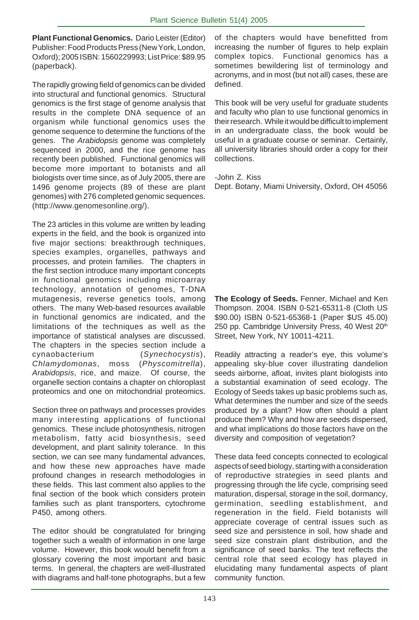**Plant Functional Genomics.**Dario Leister (Editor) Publisher: Food Products Press (New York, London, Oxford); 2005 ISBN: 1560229993; List Price: \$89.95 (paperback).

The rapidly growing field of genomics can be divided into structural and functional genomics. Structural genomics is the first stage of genome analysis that results in the complete DNA sequence of an organism while functional genomics uses the genome sequence to determine the functions of the genes. The *Arabidopsis* genome was completely sequenced in 2000, and the rice genome has recently been published. Functional genomics will become more important to botanists and all biologists over time since, as of July 2005, there are 1496 genome projects (89 of these are plant genomes) with 276 completed genomic sequences. (http://www.genomesonline.org/).

The 23 articles in this volume are written by leading experts in the field, and the book is organized into five major sections: breakthrough techniques, species examples, organelles, pathways and processes, and protein families. The chapters in the first section introduce many important concepts in functional genomics including microarray technology, annotation of genomes, T-DNA mutagenesis, reverse genetics tools, among others. The many Web-based resources available in functional genomics are indicated, and the limitations of the techniques as well as the importance of statistical analyses are discussed. The chapters in the species section include a cynaobacterium (*Synechocystis*), *Chlamydomonas*, moss (*Physcomitrella*), *Arabidopsis*, rice, and maize. Of course, the organelle section contains a chapter on chloroplast proteomics and one on mitochondrial proteomics.

Section three on pathways and processes provides many interesting applications of functional genomics. These include photosynthesis, nitrogen metabolism, fatty acid biosynthesis, seed development, and plant salinity tolerance. In this section, we can see many fundamental advances, and how these new approaches have made profound changes in research methodologies in these fields. This last comment also applies to the final section of the book which considers protein families such as plant transporters, cytochrome P450, among others.

The editor should be congratulated for bringing together such a wealth of information in one large volume. However, this book would benefit from a glossary covering the most important and basic terms. In general, the chapters are well-illustrated with diagrams and half-tone photographs, but a few of the chapters would have benefitted from increasing the number of figures to help explain complex topics. Functional genomics has a sometimes bewildering list of terminology and acronyms, and in most (but not all) cases, these are defined.

This book will be very useful for graduate students and faculty who plan to use functional genomics in their research. While it would be difficult to implement in an undergraduate class, the book would be useful in a graduate course or seminar. Certainly, all university libraries should order a copy for their collections.

-John Z. Kiss

Dept. Botany, Miami University, Oxford, OH 45056

**The Ecology of Seeds.** Fenner, Michael and Ken Thompson. 2004. ISBN 0-521-65311-8 (Cloth US \$90.00) ISBN 0-521-65368-1 (Paper \$US 45.00) 250 pp. Cambridge University Press, 40 West 20<sup>th</sup> Street, New York, NY 10011-4211.

Readily attracting a reader's eye, this volume's appealing sky-blue cover illustrating dandelion seeds airborne, afloat, invites plant biologists into a substantial examination of seed ecology. The Ecology of Seeds takes up basic problems such as, What determines the number and size of the seeds produced by a plant? How often should a plant produce them? Why and how are seeds dispersed, and what implications do those factors have on the diversity and composition of vegetation?

These data feed concepts connected to ecological aspects of seed biology, starting with a consideration of reproductive strategies in seed plants and progressing through the life cycle, comprising seed maturation, dispersal, storage in the soil, dormancy, germination, seedling establishment, and regeneration in the field. Field botanists will appreciate coverage of central issues such as seed size and persistence in soil, how shade and seed size constrain plant distribution, and the significance of seed banks. The text reflects the central role that seed ecology has played in elucidating many fundamental aspects of plant community function.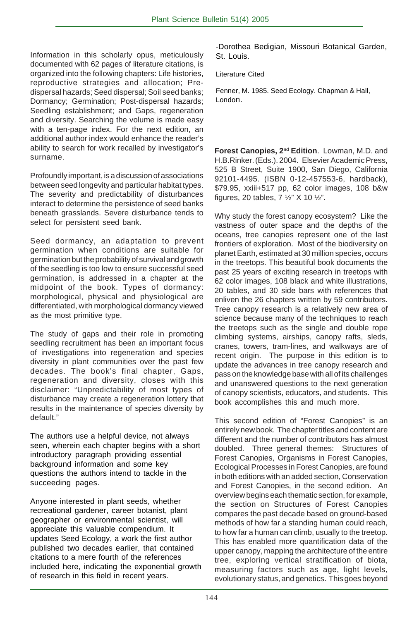Information in this scholarly opus, meticulously documented with 62 pages of literature citations, is organized into the following chapters: Life histories, reproductive strategies and allocation; Predispersal hazards; Seed dispersal; Soil seed banks; Dormancy; Germination; Post-dispersal hazards; Seedling establishment; and Gaps, regeneration and diversity. Searching the volume is made easy with a ten-page index. For the next edition, an additional author index would enhance the reader's ability to search for work recalled by investigator's surname.

Profoundly important, is a discussion of associations between seed longevity and particular habitat types. The severity and predictability of disturbances interact to determine the persistence of seed banks beneath grasslands. Severe disturbance tends to select for persistent seed bank.

Seed dormancy, an adaptation to prevent germination when conditions are suitable for germination but the probability of survival and growth of the seedling is too low to ensure successful seed germination, is addressed in a chapter at the midpoint of the book. Types of dormancy: morphological, physical and physiological are differentiated, with morphological dormancy viewed as the most primitive type.

The study of gaps and their role in promoting seedling recruitment has been an important focus of investigations into regeneration and species diversity in plant communities over the past few decades. The book's final chapter, Gaps, regeneration and diversity, closes with this disclaimer: "Unpredictability of most types of disturbance may create a regeneration lottery that results in the maintenance of species diversity by default."

The authors use a helpful device, not always seen, wherein each chapter begins with a short introductory paragraph providing essential background information and some key questions the authors intend to tackle in the succeeding pages.

Anyone interested in plant seeds, whether recreational gardener, career botanist, plant geographer or environmental scientist, will appreciate this valuable compendium. It updates Seed Ecology, a work the first author published two decades earlier, that contained citations to a mere fourth of the references included here, indicating the exponential growth of research in this field in recent years.

-Dorothea Bedigian, Missouri Botanical Garden, St. Louis.

#### Literature Cited

Fenner, M. 1985. Seed Ecology. Chapman & Hall, London.

**Forest Canopies, 2nd Edition**. Lowman, M.D. and H.B.Rinker. (Eds.). 2004. Elsevier Academic Press, 525 B Street, Suite 1900, San Diego, California 92101-4495. (ISBN 0-12-457553-6, hardback), \$79.95, xxiii+517 pp, 62 color images, 108 b&w figures, 20 tables,  $7\frac{1}{2}$ " X 10  $\frac{1}{2}$ ".

Why study the forest canopy ecosystem? Like the vastness of outer space and the depths of the oceans, tree canopies represent one of the last frontiers of exploration. Most of the biodiversity on planet Earth, estimated at 30 million species, occurs in the treetops. This beautiful book documents the past 25 years of exciting research in treetops with 62 color images, 108 black and white illustrations, 20 tables, and 30 side bars with references that enliven the 26 chapters written by 59 contributors. Tree canopy research is a relatively new area of science because many of the techniques to reach the treetops such as the single and double rope climbing systems, airships, canopy rafts, sleds, cranes, towers, tram-lines, and walkways are of recent origin. The purpose in this edition is to update the advances in tree canopy research and pass on the knowledge base with all of its challenges and unanswered questions to the next generation of canopy scientists, educators, and students. This book accomplishes this and much more.

This second edition of "Forest Canopies" is an entirely new book. The chapter titles and content are different and the number of contributors has almost doubled. Three general themes: Structures of Forest Canopies, Organisms in Forest Canopies, Ecological Processes in Forest Canopies, are found in both editions with an added section, Conservation and Forest Canopies, in the second edition. An overview begins each thematic section, for example, the section on Structures of Forest Canopies compares the past decade based on ground-based methods of how far a standing human could reach, to how far a human can climb, usually to the treetop. This has enabled more quantification data of the upper canopy, mapping the architecture of the entire tree, exploring vertical stratification of biota, measuring factors such as age, light levels, evolutionary status, and genetics. This goes beyond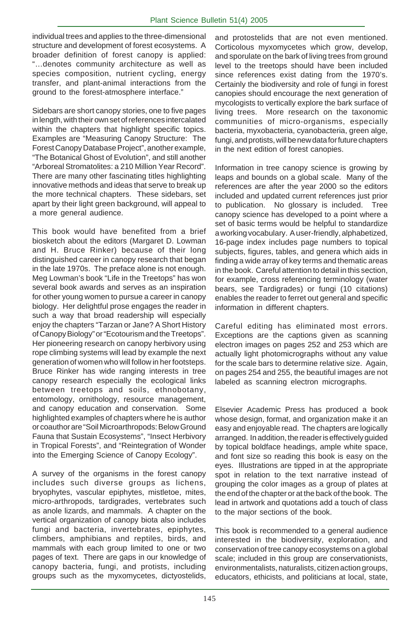individual trees and applies to the three-dimensional structure and development of forest ecosystems. A broader definition of forest canopy is applied: "…denotes community architecture as well as species composition, nutrient cycling, energy transfer, and plant-animal interactions from the ground to the forest-atmosphere interface."

Sidebars are short canopy stories, one to five pages in length, with their own set of references intercalated within the chapters that highlight specific topics. Examples are "Measuring Canopy Structure: The Forest Canopy Database Project", another example, "The Botanical Ghost of Evolution", and still another "Arboreal Stromatolites: a 210 Million Year Record". There are many other fascinating titles highlighting innovative methods and ideas that serve to break up the more technical chapters. These sidebars, set apart by their light green background, will appeal to a more general audience.

This book would have benefited from a brief biosketch about the editors (Margaret D. Lowman and H. Bruce Rinker) because of their long distinguished career in canopy research that began in the late 1970s. The preface alone is not enough. Meg Lowman's book "Life in the Treetops" has won several book awards and serves as an inspiration for other young women to pursue a career in canopy biology. Her delightful prose engages the reader in such a way that broad readership will especially enjoy the chapters "Tarzan or Jane? A Short History of Canopy Biology" or "Ecotourism and the Treetops". Her pioneering research on canopy herbivory using rope climbing systems will lead by example the next generation of women who will follow in her footsteps. Bruce Rinker has wide ranging interests in tree canopy research especially the ecological links between treetops and soils, ethnobotany, entomology, ornithology, resource management, and canopy education and conservation. Some highlighted examples of chapters where he is author or coauthor are "Soil Microarthropods: Below Ground Fauna that Sustain Ecosystems", "Insect Herbivory in Tropical Forests", and "Reintegration of Wonder into the Emerging Science of Canopy Ecology".

A survey of the organisms in the forest canopy includes such diverse groups as lichens, bryophytes, vascular epiphytes, mistletoe, mites, micro-arthropods, tardigrades, vertebrates such as anole lizards, and mammals. A chapter on the vertical organization of canopy biota also includes fungi and bacteria, invertebrates, epiphytes, climbers, amphibians and reptiles, birds, and mammals with each group limited to one or two pages of text. There are gaps in our knowledge of canopy bacteria, fungi, and protists, including groups such as the myxomycetes, dictyostelids,

and protostelids that are not even mentioned. Corticolous myxomycetes which grow, develop, and sporulate on the bark of living trees from ground level to the treetops should have been included since references exist dating from the 1970's. Certainly the biodiversity and role of fungi in forest canopies should encourage the next generation of mycologists to vertically explore the bark surface of living trees. More research on the taxonomic communities of micro-organisms, especially bacteria, myxobacteria, cyanobacteria, green alge, fungi, and protists, will be new data for future chapters in the next edition of forest canopies.

Information in tree canopy science is growing by leaps and bounds on a global scale. Many of the references are after the year 2000 so the editors included and updated current references just prior to publication. No glossary is included. Tree canopy science has developed to a point where a set of basic terms would be helpful to standardize a working vocabulary. A user-friendly, alphabetized, 16-page index includes page numbers to topical subjects, figures, tables, and genera which aids in finding a wide array of key terms and thematic areas in the book. Careful attention to detail in this section, for example, cross referencing terminology (water bears, see Tardigrades) or fungi (10 citations) enables the reader to ferret out general and specific information in different chapters.

Careful editing has eliminated most errors. Exceptions are the captions given as scanning electron images on pages 252 and 253 which are actually light photomicrographs without any value for the scale bars to determine relative size. Again, on pages 254 and 255, the beautiful images are not labeled as scanning electron micrographs.

Elsevier Academic Press has produced a book whose design, format, and organization make it an easy and enjoyable read. The chapters are logically arranged. In addition, the reader is effectively guided by topical boldface headings, ample white space, and font size so reading this book is easy on the eyes. Illustrations are tipped in at the appropriate spot in relation to the text narrative instead of grouping the color images as a group of plates at the end of the chapter or at the back of the book. The lead in artwork and quotations add a touch of class to the major sections of the book.

This book is recommended to a general audience interested in the biodiversity, exploration, and conservation of tree canopy ecosystems on a global scale; included in this group are conservationists, environmentalists, naturalists, citizen action groups, educators, ethicists, and politicians at local, state,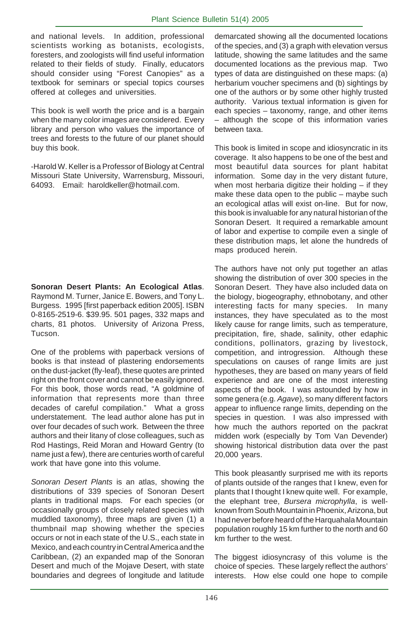and national levels. In addition, professional scientists working as botanists, ecologists, foresters, and zoologists will find useful information related to their fields of study. Finally, educators should consider using "Forest Canopies" as a textbook for seminars or special topics courses offered at colleges and universities.

This book is well worth the price and is a bargain when the many color images are considered. Every library and person who values the importance of trees and forests to the future of our planet should buy this book.

-Harold W. Keller is a Professor of Biology at Central Missouri State University, Warrensburg, Missouri, 64093. Email: haroldkeller@hotmail.com.

**Sonoran Desert Plants: An Ecological Atlas**. Raymond M. Turner, Janice E. Bowers, and Tony L. Burgess. 1995 [first paperback edition 2005]. ISBN 0-8165-2519-6. \$39.95. 501 pages, 332 maps and charts, 81 photos. University of Arizona Press, Tucson.

One of the problems with paperback versions of books is that instead of plastering endorsements on the dust-jacket (fly-leaf), these quotes are printed right on the front cover and cannot be easily ignored. For this book, those words read, "A goldmine of information that represents more than three decades of careful compilation." What a gross understatement. The lead author alone has put in over four decades of such work. Between the three authors and their litany of close colleagues, such as Rod Hastings, Reid Moran and Howard Gentry (to name just a few), there are centuries worth of careful work that have gone into this volume.

*Sonoran Desert Plants* is an atlas, showing the distributions of 339 species of Sonoran Desert plants in traditional maps. For each species (or occasionally groups of closely related species with muddled taxonomy), three maps are given (1) a thumbnail map showing whether the species occurs or not in each state of the U.S., each state in Mexico, and each country in Central America and the Caribbean, (2) an expanded map of the Sonoran Desert and much of the Mojave Desert, with state boundaries and degrees of longitude and latitude

demarcated showing all the documented locations of the species, and (3) a graph with elevation versus latitude, showing the same latitudes and the same documented locations as the previous map. Two types of data are distinguished on these maps: (a) herbarium voucher specimens and (b) sightings by one of the authors or by some other highly trusted authority. Various textual information is given for each species – taxonomy, range, and other items – although the scope of this information varies between taxa.

This book is limited in scope and idiosyncratic in its coverage. It also happens to be one of the best and most beautiful data sources for plant habitat information. Some day in the very distant future, when most herbaria digitize their holding – if they make these data open to the public – maybe such an ecological atlas will exist on-line. But for now, this book is invaluable for any natural historian of the Sonoran Desert. It required a remarkable amount of labor and expertise to compile even a single of these distribution maps, let alone the hundreds of maps produced herein.

The authors have not only put together an atlas showing the distribution of over 300 species in the Sonoran Desert. They have also included data on the biology, biogeography, ethnobotany, and other interesting facts for many species. In many instances, they have speculated as to the most likely cause for range limits, such as temperature, precipitation, fire, shade, salinity, other edaphic conditions, pollinators, grazing by livestock, competition, and introgression. Although these speculations on causes of range limits are just hypotheses, they are based on many years of field experience and are one of the most interesting aspects of the book. I was astounded by how in some genera (e.g. *Agave*), so many different factors appear to influence range limits, depending on the species in question. I was also impressed with how much the authors reported on the packrat midden work (especially by Tom Van Devender) showing historical distribution data over the past 20,000 years.

This book pleasantly surprised me with its reports of plants outside of the ranges that I knew, even for plants that I thought I knew quite well. For example, the elephant tree, *Bursera microphylla*, is wellknown from South Mountain in Phoenix, Arizona, but I had never before heard of the Harquahala Mountain population roughly 15 km further to the north and 60 km further to the west.

The biggest idiosyncrasy of this volume is the choice of species. These largely reflect the authors' interests. How else could one hope to compile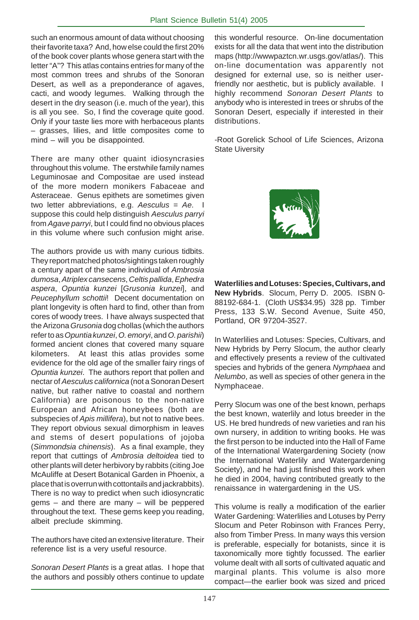such an enormous amount of data without choosing their favorite taxa? And, how else could the first 20% of the book cover plants whose genera start with the letter "A"? This atlas contains entries for many of the most common trees and shrubs of the Sonoran Desert, as well as a preponderance of agaves, cacti, and woody legumes. Walking through the desert in the dry season (i.e. much of the year), this is all you see. So, I find the coverage quite good. Only if your taste lies more with herbaceous plants – grasses, lilies, and little composites come to mind – will you be disappointed.

There are many other quaint idiosyncrasies throughout this volume. The erstwhile family names Leguminosae and Compositae are used instead of the more modern monikers Fabaceae and Asteraceae. Genus epithets are sometimes given two letter abbreviations, e.g. *Aesculus* = *Ae*. I suppose this could help distinguish *Aesculus parryi* from *Agave parryi*, but I could find no obvious places in this volume where such confusion might arise.

The authors provide us with many curious tidbits. They report matched photos/sightings taken roughly a century apart of the same individual of *Ambrosia dumosa*, *Atriplex cansecens*, *Celtis pallida*, *Ephedra aspera*, *Opuntia kunzei* [*Grusonia kunzei*], and *Peucephyllum schottii*! Decent documentation on plant longevity is often hard to find, other than from cores of woody trees. I have always suspected that the Arizona *Grusonia* dog chollas (which the authors refer to as *Opuntia kunzei*, *O. emoryi*, and *O. parishii*) formed ancient clones that covered many square kilometers. At least this atlas provides some evidence for the old age of the smaller fairy rings of *Opuntia kunzei*. The authors report that pollen and nectar of *Aesculus californica* (not a Sonoran Desert native, but rather native to coastal and northern California) are poisonous to the non-native European and African honeybees (both are subspecies of *Apis millifera*), but not to native bees. They report obvious sexual dimorphism in leaves and stems of desert populations of jojoba (*Simmondsia chinensis*). As a final example, they report that cuttings of *Ambrosia deltoidea* tied to other plants will deter herbivory by rabbits (citing Joe McAuliffe at Desert Botanical Garden in Phoenix, a place that is overrun with cottontails and jackrabbits). There is no way to predict when such idiosyncratic gems – and there are many – will be peppered throughout the text. These gems keep you reading, albeit preclude skimming.

The authors have cited an extensive literature. Their reference list is a very useful resource.

*Sonoran Desert Plants* is a great atlas. I hope that the authors and possibly others continue to update this wonderful resource. On-line documentation exists for all the data that went into the distribution maps (http://wwwpaztcn.wr.usgs.gov/atlas/). This on-line documentation was apparently not designed for external use, so is neither userfriendly nor aesthetic, but is publicly available. I highly recommend *Sonoran Desert Plants* to anybody who is interested in trees or shrubs of the Sonoran Desert, especially if interested in their distributions.

-Root Gorelick School of Life Sciences, Arizona State Uiversity



**Waterlilies and Lotuses: Species, Cultivars, and New Hybrids**. Slocum, Perry D. 2005. ISBN 0- 88192-684-1. (Cloth US\$34.95) 328 pp. Timber Press, 133 S.W. Second Avenue, Suite 450, Portland, OR 97204-3527.

In Waterlilies and Lotuses: Species, Cultivars, and New Hybrids by Perry Slocum, the author clearly and effectively presents a review of the cultivated species and hybrids of the genera *Nymphaea* and *Nelumbo*, as well as species of other genera in the Nymphaceae.

Perry Slocum was one of the best known, perhaps the best known, waterlily and lotus breeder in the US. He bred hundreds of new varieties and ran his own nursery, in addition to writing books. He was the first person to be inducted into the Hall of Fame of the International Watergardening Society (now the International Waterlily and Watergardening Society), and he had just finished this work when he died in 2004, having contributed greatly to the renaissance in watergardening in the US.

This volume is really a modification of the earlier Water Gardening: Waterlilies and Lotuses by Perry Slocum and Peter Robinson with Frances Perry, also from Timber Press. In many ways this version is preferable, especially for botanists, since it is taxonomically more tightly focussed. The earlier volume dealt with all sorts of cultivated aquatic and marginal plants. This volume is also more compact—the earlier book was sized and priced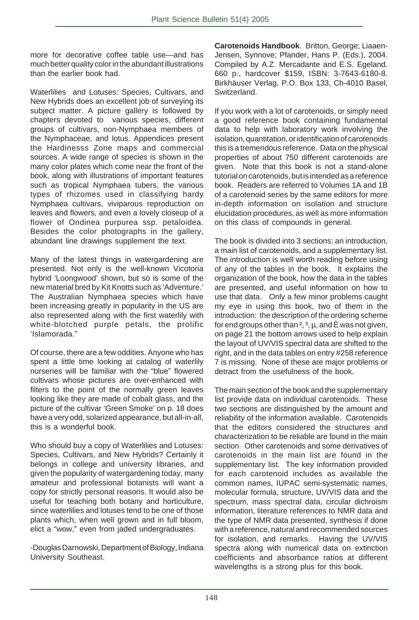more for decorative coffee table use—and has much better quality color in the abundant illustrations than the earlier book had.

Waterlilies and Lotuses: Species, Cultivars, and New Hybrids does an excellent job of surveying its subject matter. A picture gallery is followed by chapters devoted to various species, different groups of cultivars, non-Nymphaea members of the Nymphaceae, and lotus. Appendices present the Hardinesss Zone maps and commercial sources. A wide range of species is shown in the many color plates which come near the front of the book, along with illustrations of important features such as tropical Nymphaea tubers, the various types of rhizomes used in classifying hardy Nymphaea cultivars, viviparous reproduction on leaves and flowers, and even a lovely closeup of a flower of Ondinea purpurea ssp. petaloidea. Besides the color photographs in the gallery, abundant line drawings supplement the text.

Many of the latest things in watergardening are presented. Not only is the well-known Vicotoria hybrid 'Loongwood' shown, but so is some of the new material bred by Kit Knotts such as 'Adventure.' The Australian Nymphaea species which have been increasing greatly in popularity in the US are also represented along with the first waterlily with white-blotched purple petals, the prolific 'Islamorada."

Of course, there are a few oddities. Anyone who has spent a little time looking at catalog of waterlily nurseries will be familiar with the "blue" flowered cultivars whose pictures are over-enhanced with filters to the point of the normally green leaves looking like they are made of cobalt glass, and the picture of the cultivar 'Green Smoke' on p. 18 does have a very odd, solarized appearance, but all-in-all, this is a wonderful book.

Who should buy a copy of Waterlilies and Lotuses: Species, Cultivars, and New Hybrids? Certainly it belongs in college and university libraries, and given the popularity of watergardening today, many amateur and professional botanists will want a copy for strictly personal reasons. It would also be useful for teaching both botany and horticulture, since waterlilies and lotuses tend to be one of those plants which, when well grown and in full bloom, elict a "wow," even from jaded undergraduates.

-Douglas Darnowski, Department of Biology, Indiana University Southeast.

**Carotenoids Handbook**. Britton, George; Liaaen-Jensen, Synnove; Pfander, Hans P. (Eds.), 2004. Compiled by A.Z. Mercadante and E.S. Egeland. 660 p., hardcover \$159, ISBN: 3-7643-6180-8. Birkhäuser Verlag, P.O. Box 133, Ch-4010 Basel, Switzerland.

If you work with a lot of carotenoids, or simply need a good reference book containing fundamental data to help with laboratory work involving the isolation, quantitation, or identification of carotenoids this is a tremendous reference. Data on the physical properties of about 750 different carotenoids are given. Note that this book is not a stand-alone tutorial on carotenoids, but is intended as a reference book. Readers are referred to Volumes 1A and 1B of a carotenoid series by the same editors for more in-depth information on isolation and structure elucidation procedures, as well as more information on this class of compounds in general.

The book is divided into 3 sections: an introduction, a main list of carotenoids, and a supplementary list. The introduction is well worth reading before using of any of the tables in the book. It explains the organization of the book, how the data in the tables are presented, and useful information on how to use that data. Only a few minor problems caught my eye in using this book, two of them in the introduction: the description of the ordering scheme for end groups other than <sup>2</sup>, <sup>3</sup>, µ, and È was not given, on page 21 the bottom arrows used to help explain the layout of UV/VIS spectral data are shifted to the right, and in the data tables on entry #258 reference 7 is missing. None of these are major problems or detract from the usefulness of the book.

The main section of the book and the supplementary list provide data on individual carotenoids. These two sections are distinguished by the amount and reliability of the information available. Carotenoids that the editors considered the structures and characterization to be reliable are found in the main section. Other carotenoids and some derivatives of carotenoids in the main list are found in the supplementary list. The key information provided for each carotenoid includes as available the common names, IUPAC semi-systematic names, molecular formula, structure, UV/VIS data and the spectrum, mass spectral data, circular dichroism information, literature references to NMR data and the type of NMR data presented, synthesis if done with a reference, natural and recommended sources for isolation, and remarks. Having the UV/VIS spectra along with numerical data on extinction coefficients and absorbance ratios at different wavelengths is a strong plus for this book.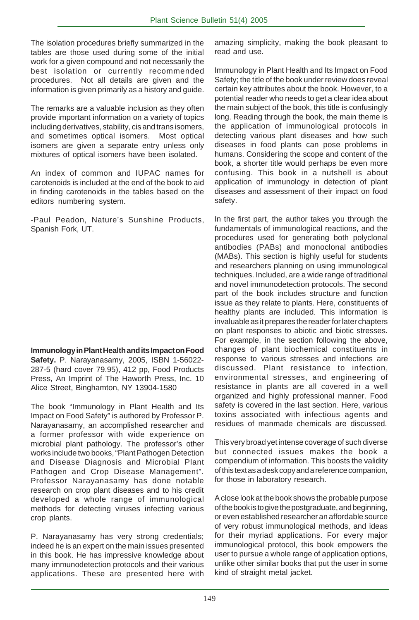The isolation procedures briefly summarized in the tables are those used during some of the initial work for a given compound and not necessarily the best isolation or currently recommended procedures. Not all details are given and the information is given primarily as a history and guide.

The remarks are a valuable inclusion as they often provide important information on a variety of topics including derivatives, stability, cis and trans isomers, and sometimes optical isomers. Most optical isomers are given a separate entry unless only mixtures of optical isomers have been isolated.

An index of common and IUPAC names for carotenoids is included at the end of the book to aid in finding carotenoids in the tables based on the editors numbering system.

-Paul Peadon, Nature's Sunshine Products, Spanish Fork, UT.

**Immunology in Plant Health and its Impact on Food Safety.** P. Narayanasamy, 2005, ISBN 1-56022- 287-5 (hard cover 79.95), 412 pp, Food Products Press, An Imprint of The Haworth Press, Inc. 10 Alice Street, Binghamton, NY 13904-1580

The book "Immunology in Plant Health and Its Impact on Food Safety" is authored by Professor P. Narayanasamy, an accomplished researcher and a former professor with wide experience on microbial plant pathology. The professor's other works include two books, "Plant Pathogen Detection and Disease Diagnosis and Microbial Plant Pathogen and Crop Disease Management". Professor Narayanasamy has done notable research on crop plant diseases and to his credit developed a whole range of immunological methods for detecting viruses infecting various crop plants.

P. Narayanasamy has very strong credentials; indeed he is an expert on the main issues presented in this book. He has impressive knowledge about many immunodetection protocols and their various applications. These are presented here with amazing simplicity, making the book pleasant to read and use.

Immunology in Plant Health and Its Impact on Food Safety; the title of the book under review does reveal certain key attributes about the book. However, to a potential reader who needs to get a clear idea about the main subject of the book, this title is confusingly long. Reading through the book, the main theme is the application of immunological protocols in detecting various plant diseases and how such diseases in food plants can pose problems in humans. Considering the scope and content of the book, a shorter title would perhaps be even more confusing. This book in a nutshell is about application of immunology in detection of plant diseases and assessment of their impact on food safety.

In the first part, the author takes you through the fundamentals of immunological reactions, and the procedures used for generating both polyclonal antibodies (PABs) and monoclonal antibodies (MABs). This section is highly useful for students and researchers planning on using immunological techniques. Included, are a wide range of traditional and novel immunodetection protocols. The second part of the book includes structure and function issue as they relate to plants. Here, constituents of healthy plants are included. This information is invaluable as it prepares the reader for later chapters on plant responses to abiotic and biotic stresses. For example, in the section following the above, changes of plant biochemical constituents in response to various stresses and infections are discussed. Plant resistance to infection, environmental stresses, and engineering of resistance in plants are all covered in a well organized and highly professional manner. Food safety is covered in the last section. Here, various toxins associated with infectious agents and residues of manmade chemicals are discussed.

This very broad yet intense coverage of such diverse but connected issues makes the book a compendium of information. This boosts the validity of this text as a desk copy and a reference companion, for those in laboratory research.

A close look at the book shows the probable purpose of the book is to give the postgraduate, and beginning, or even established researcher an affordable source of very robust immunological methods, and ideas for their myriad applications. For every major immunological protocol, this book empowers the user to pursue a whole range of application options, unlike other similar books that put the user in some kind of straight metal jacket.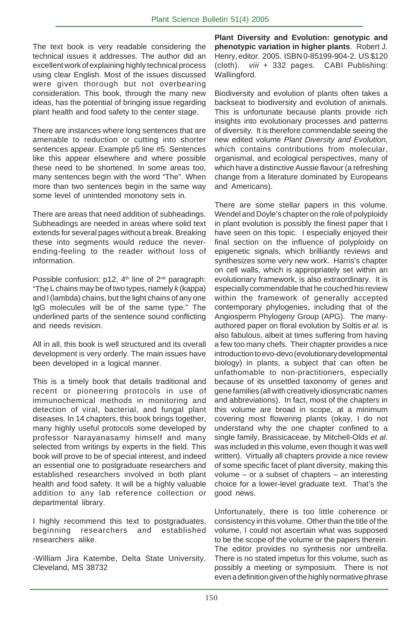The text book is very readable considering the technical issues it addresses. The author did an excellent work of explaining highly technical process using clear English. Most of the issues discussed were given thorough but not overbearing consideration. This book, through the many new ideas, has the potential of bringing issue regarding plant health and food safety to the center stage.

There are instances where long sentences that are amenable to reduction or cutting into shorter sentences appear. Example p5 line #5. Sentences like this appear elsewhere and where possible these need to be shortened. In some areas too, many sentences begin with the word "The". When more than two sentences begin in the same way some level of unintended monotony sets in.

There are areas that need addition of subheadings. Subheadings are needed in areas where solid text extends for several pages without a break. Breaking these into segments would reduce the neverending-feeling to the reader without loss of information.

Possible confusion: p12, 4<sup>th</sup> line of 2<sup>nd</sup> paragraph: "The L chains may be of two types, namely *k* (kappa) and l (lambda) chains, but the light chains of any one IgG molecules will be of the same type." The underlined parts of the sentence sound conflicting and needs revision.

All in all, this book is well structured and its overall development is very orderly. The main issues have been developed in a logical manner.

This is a timely book that details traditional and recent or pioneering protocols in use of immunochemical methods in monitoring and detection of viral, bacterial, and fungal plant diseases. In 14 chapters, this book brings together, many highly useful protocols some developed by professor Narayanasamy himself and many selected from writings by experts in the field. This book will prove to be of special interest, and indeed an essential one to postgraduate researchers and established researchers involved in both plant health and food safety. It will be a highly valuable addition to any lab reference collection or departmental library.

I highly recommend this text to postgraduates, beginning researchers and established researchers alike.

-William Jira Katembe, Delta State University, Cleveland, MS 38732

**Plant Diversity and Evolution: genotypic and phenotypic variation in higher plants**. Robert J. Henry, editor. 2005. ISBN 0-85199-904-2. US \$120 (cloth). *viii* + 332 pages. CABI Publishing: Wallingford.

Biodiversity and evolution of plants often takes a backseat to biodiversity and evolution of animals. This is unfortunate because plants provide rich insights into evolutionary processes and patterns of diversity. It is therefore commendable seeing the new edited volume *Plant Diversity and Evolution*, which contains contributions from molecular, organismal, and ecological perspectives, many of which have a distinctive Aussie flavour (a refreshing change from a literature dominated by Europeans and Americans).

There are some stellar papers in this volume. Wendel and Doyle's chapter on the role of polyploidy in plant evolution is possibly the finest paper that I have seen on this topic. I especially enjoyed their final section on the influence of polyploidy on epigenetic signals, which brilliantly reviews and synthesizes some very new work. Harris's chapter on cell walls, which is appropriately set within an evolutionary framework, is also extraordinary. It is especially commendable that he couched his review within the framework of generally accepted contemporary phylogenies, including that of the Angiosperm Phylogeny Group (APG). The manyauthored paper on floral evolution by Soltis *et al*. is also fabulous, albeit at times suffering from having a few too many chefs. Their chapter provides a nice introduction to evo-devo (evolutionary developmental biology) in plants, a subject that can often be unfathomable to non-practitioners, especially because of its unsettled taxonomy of genes and gene families (all with creatively idiosyncratic names and abbreviations). In fact, most of the chapters in this volume are broad in scope, at a minimum covering most flowering plants (okay, I do not understand why the one chapter confined to a single family, Brassicaceae, by Mitchell-Olds *et al*. was included in this volume, even though it was well written). Virtually all chapters provide a nice review of some specific facet of plant diversity, making this volume  $-$  or a subset of chapters  $-$  an interesting choice for a lower-level graduate text. That's the good news.

Unfortunately, there is too little coherence or consistency in this volume. Other than the title of the volume, I could not ascertain what was supposed to be the scope of the volume or the papers therein. The editor provides no synthesis nor umbrella. There is no stated impetus for this volume, such as possibly a meeting or symposium. There is not even a definition given of the highly normative phrase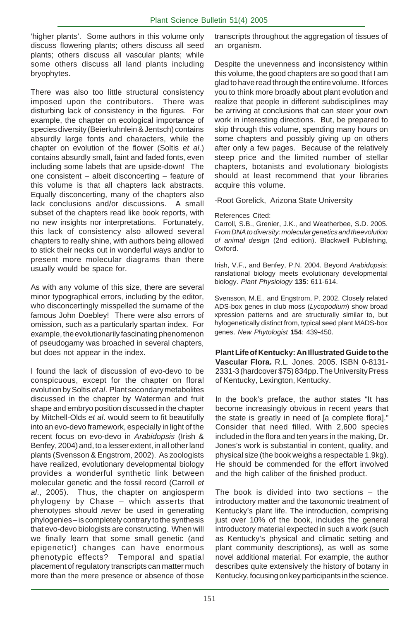'higher plants'. Some authors in this volume only discuss flowering plants; others discuss all seed plants; others discuss all vascular plants; while some others discuss all land plants including bryophytes.

There was also too little structural consistency imposed upon the contributors. There was disturbing lack of consistency in the figures. For example, the chapter on ecological importance of species diversity (Beierkuhnlein & Jentsch) contains absurdly large fonts and characters, while the chapter on evolution of the flower (Soltis *et al*.) contains absurdly small, faint and faded fonts, even including some labels that are upside-down! The one consistent – albeit disconcerting – feature of this volume is that all chapters lack abstracts. Equally disconcerting, many of the chapters also lack conclusions and/or discussions. A small subset of the chapters read like book reports, with no new insights nor interpretations. Fortunately, this lack of consistency also allowed several chapters to really shine, with authors being allowed to stick their necks out in wonderful ways and/or to present more molecular diagrams than there usually would be space for.

As with any volume of this size, there are several minor typographical errors, including by the editor, who disconcertingly misspelled the surname of the famous John Doebley! There were also errors of omission, such as a particularly spartan index. For example, the evolutionarily fascinating phenomenon of pseudogamy was broached in several chapters, but does not appear in the index.

I found the lack of discussion of evo-devo to be conspicuous, except for the chapter on floral evolution by Soltis *et al*. Plant secondary metabolites discussed in the chapter by Waterman and fruit shape and embryo position discussed in the chapter by Mitchell-Olds *et al*. would seem to fit beautifully into an evo-devo framework, especially in light of the recent focus on evo-devo in *Arabidopsis* (Irish & Benfey, 2004) and, to a lesser extent, in all other land plants (Svensson & Engstrom, 2002). As zoologists have realized, evolutionary developmental biology provides a wonderful synthetic link between molecular genetic and the fossil record (Carroll *et al*., 2005). Thus, the chapter on angiosperm phylogeny by Chase – which asserts that phenotypes should *never* be used in generating phylogenies – is completely contrary to the synthesis that evo-devo biologists are constructing. When will we finally learn that some small genetic (and epigenetic!) changes can have enormous phenotypic effects? Temporal and spatial placement of regulatory transcripts can matter much more than the mere presence or absence of those

transcripts throughout the aggregation of tissues of an organism.

Despite the unevenness and inconsistency within this volume, the good chapters are so good that I am glad to have read through the entire volume. It forces you to think more broadly about plant evolution and realize that people in different subdisciplines may be arriving at conclusions that can steer your own work in interesting directions. But, be prepared to skip through this volume, spending many hours on some chapters and possibly giving up on others after only a few pages. Because of the relatively steep price and the limited number of stellar chapters, botanists and evolutionary biologists should at least recommend that your libraries acquire this volume.

-Root Gorelick, Arizona State University

#### References Cited:

Carroll, S.B., Grenier, J.K., and Weatherbee, S.D. 2005. *From DNA to diversity: molecular genetics and theevolution of animal design* (2nd edition). Blackwell Publishing, Oxford.

Irish, V.F., and Benfey, P.N. 2004. Beyond *Arabidopsis*: ranslational biology meets evolutionary developmental biology. *Plant Physiology* **135**: 611-614.

Svensson, M.E., and Engstrom, P. 2002. Closely related ADS-box genes in club moss (*Lycopodium*) show broad xpression patterns and are structurally similar to, but hylogenetically distinct from, typical seed plant MADS-box genes. *New Phytologist* **154**: 439-450.

**Plant Life of Kentucky: An Illustrated Guide to the Vascular Flora.** R.L. Jones. 2005. ISBN 0-8131- 2331-3 (hardcover \$75) 834pp. The University Press of Kentucky, Lexington, Kentucky.

In the book's preface, the author states "It has become increasingly obvious in recent years that the state is greatly in need of [a complete flora]." Consider that need filled. With 2,600 species included in the flora and ten years in the making, Dr. Jones's work is substantial in content, quality, and physical size (the book weighs a respectable 1.9kg). He should be commended for the effort involved and the high caliber of the finished product.

The book is divided into two sections – the introductory matter and the taxonomic treatment of Kentucky's plant life. The introduction, comprising just over 10% of the book, includes the general introductory material expected in such a work (such as Kentucky's physical and climatic setting and plant community descriptions), as well as some novel additional material. For example, the author describes quite extensively the history of botany in Kentucky, focusing on key participants in the science.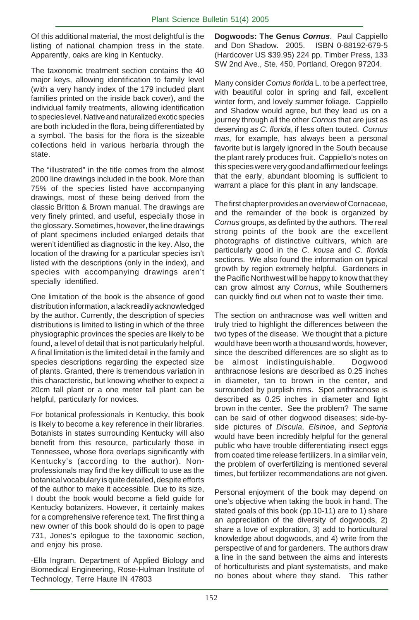Of this additional material, the most delightful is the listing of national champion tress in the state. Apparently, oaks are king in Kentucky.

The taxonomic treatment section contains the 40 major keys, allowing identification to family level (with a very handy index of the 179 included plant families printed on the inside back cover), and the individual family treatments, allowing identification to species level. Native and naturalized exotic species are both included in the flora, being differentiated by a symbol. The basis for the flora is the sizeable collections held in various herbaria through the state.

The "illustrated" in the title comes from the almost 2000 line drawings included in the book. More than 75% of the species listed have accompanying drawings, most of these being derived from the classic Britton & Brown manual. The drawings are very finely printed, and useful, especially those in the glossary. Sometimes, however, the line drawings of plant specimens included enlarged details that weren't identified as diagnostic in the key. Also, the location of the drawing for a particular species isn't listed with the descriptions (only in the index), and species with accompanying drawings aren't specially identified.

One limitation of the book is the absence of good distribution information, a lack readily acknowledged by the author. Currently, the description of species distributions is limited to listing in which of the three physiographic provinces the species are likely to be found, a level of detail that is not particularly helpful. A final limitation is the limited detail in the family and species descriptions regarding the expected size of plants. Granted, there is tremendous variation in this characteristic, but knowing whether to expect a 20cm tall plant or a one meter tall plant can be helpful, particularly for novices.

For botanical professionals in Kentucky, this book is likely to become a key reference in their libraries. Botanists in states surrounding Kentucky will also benefit from this resource, particularly those in Tennessee, whose flora overlaps significantly with Kentucky's (according to the author). Nonprofessionals may find the key difficult to use as the botanical vocabulary is quite detailed, despite efforts of the author to make it accessible. Due to its size, I doubt the book would become a field guide for Kentucky botanizers. However, it certainly makes for a comprehensive reference text. The first thing a new owner of this book should do is open to page 731, Jones's epilogue to the taxonomic section, and enjoy his prose.

-Ella Ingram, Department of Applied Biology and Biomedical Engineering, Rose-Hulman Institute of Technology, Terre Haute IN 47803

**Dogwoods: The Genus** *Cornus*. Paul Cappiello and Don Shadow. 2005. ISBN 0-88192-679-5 (Hardcover US \$39.95) 224 pp. Timber Press, 133 SW 2nd Ave., Ste. 450, Portland, Oregon 97204.

Many consider *Cornus florida* L. to be a perfect tree, with beautiful color in spring and fall, excellent winter form, and lovely summer foliage. Cappiello and Shadow would agree, but they lead us on a journey through all the other *Cornus* that are just as deserving as *C. florida*, if less often touted. *Cornus mas*, for example, has always been a personal favorite but is largely ignored in the South because the plant rarely produces fruit. Cappiello's notes on this species were very good and affirmed our feelings that the early, abundant blooming is sufficient to warrant a place for this plant in any landscape.

The first chapter provides an overview of Cornaceae, and the remainder of the book is organized by *Cornus* groups, as definted by the authors. The real strong points of the book are the excellent photographs of distinctive cultivars, which are particularly good in the *C. kousa* and *C. florida* sections. We also found the information on typical growth by region extremely helpful. Gardeners in the Pacific Northwest will be happy to know that they can grow almost any *Cornus*, while Southerners can quickly find out when not to waste their time.

The section on anthracnose was well written and truly tried to highlight the differences between the two types of the disease. We thought that a picture would have been worth a thousand words, however, since the described differences are so slight as to be almost indistinguishable. Dogwood anthracnose lesions are described as 0.25 inches in diameter, tan to brown in the center, and surrounded by purplish rims. Spot anthracnose is described as 0.25 inches in diameter and light brown in the center. See the problem? The same can be said of other dogwood diseases; side-byside pictures of *Discula*, *Elsinoe*, and *Septoria* would have been incredibly helpful for the general public who have trouble differentiating insect eggs from coated time release fertilizers. In a similar vein, the problem of overfertilizing is mentioned several times, but fertilizer recommendations are not given.

Personal enjoyment of the book may depend on one's objective when taking the book in hand. The stated goals of this book (pp.10-11) are to 1) share an appreciation of the diversity of dogwoods, 2) share a love of exploration, 3) add to horticultural knowledge about dogwoods, and 4) write from the perspective of and for gardeners. The authors draw a line in the sand between the aims and interests of horticulturists and plant systematists, and make no bones about where they stand. This rather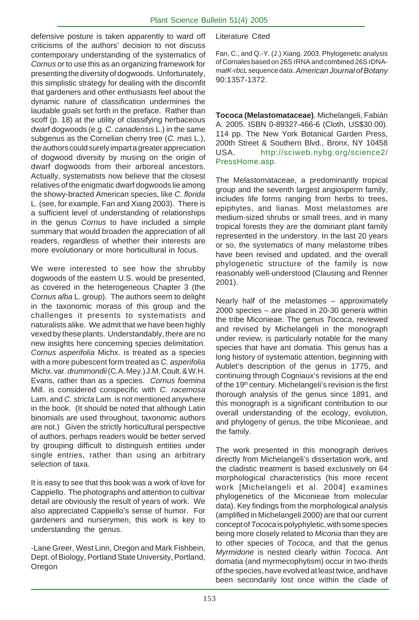defensive posture is taken apparently to ward off criticisms of the authors' decision to not discuss contemporary understanding of the systematics of *Cornus* or to use this as an organizing framework for presenting the diversity of dogwoods. Unfortunately, this simplistic strategy for dealing with the discomfit that gardeners and other enthusiasts feel about the dynamic nature of classification undermines the laudable goals set forth in the preface. Rather than scoff (p. 18) at the utility of classifying herbaceous dwarf dogwoods (e.g. *C. canadensis* L.) in the same subgenus as the Cornelian cherry tree (*C. mas* L.), the authors could surely impart a greater appreciation of dogwood diversity by musing on the origin of dwarf dogwoods from their arboreal ancestors. Actually, systematists now believe that the closest relatives of the enigmatic dwarf dogwoods lie among the showy-bracted American species, like *C. florida* L. (see, for example, Fan and Xiang 2003). There is a sufficient level of understanding of relationships in the genus *Cornus* to have included a simple summary that would broaden the appreciation of all readers, regardless of whether their interests are more evolutionary or more horticultural in focus.

We were interested to see how the shrubby dogwoods of the eastern U.S. would be presented, as covered in the heterogeneous Chapter 3 (the *Cornus alba* L. group). The authors seem to delight in the taxonomic morass of this group and the challenges it presents to systematists and naturalists alike. We admit that we have been highly vexed by these plants. Understandably, there are no new insights here concerning species delimitation. *Cornus asperifolia* Michx. is treated as a species with a more pubescent form treated as *C. asperifolia* Michx. var. *drummondii* (C.A. Mey.) J.M. Coult. & W.H. Evans, rather than as a species. *Cornus foemina* Mill. is considered conspecific with *C. racemosa* Lam. and *C. stricta* Lam. is not mentioned anywhere in the book. (It should be noted that although Latin binomials are used throughout, taxonomic authors are not.) Given the strictly horticultural perspective of authors, perhaps readers would be better served by grouping difficult to distinguish entities under single entries, rather than using an arbitrary selection of taxa.

It is easy to see that this book was a work of love for Cappiello. The photographs and attention to cultivar detail are obviously the result of years of work. We also appreciated Cappiello's sense of humor. For gardeners and nurserymen, this work is key to understanding the genus.

-Lane Greer, West Linn, Oregon and Mark Fishbein, Dept. of Biology, Portland State University, Portland, Oregon

#### Literature Cited

Fan, C., and Q.-Y. (J.) Xiang. 2003. Phylogenetic analysis of Cornales based on 26S rRNA and combined 26S rDNA*matK*-*rbcL* sequence data.*American Journal of Botany* 90:1357-1372.

**Tococa (Melastomataceae)**. Michelangeli, Fabián A. 2005. ISBN 0-89327-466-6 (Cloth, US\$30.00). 114 pp. The New York Botanical Garden Press, 200th Street & Southern Blvd., Bronx, NY 10458 USA. http://sciweb.nybg.org/science2/ PressHome.asp.

The Melastomataceae, a predominantly tropical group and the seventh largest angiosperm family, includes life forms ranging from herbs to trees, epiphytes, and lianas. Most melastomes are medium-sized shrubs or small trees, and in many tropical forests they are the dominant plant family represented in the understory. In the last 20 years or so, the systematics of many melastome tribes have been revised and updated, and the overall phylogenetic structure of the family is now reasonably well-understood (Clausing and Renner 2001).

Nearly half of the melastomes – approximately 2000 species – are placed in 20-30 genera within the tribe Miconieae. The genus *Tococa*, reviewed and revised by Michelangeli in the monograph under review, is particularly notable for the many species that have ant domatia. This genus has a long history of systematic attention, beginning with Aublet's description of the genus in 1775, and continuing through Cogniaux's revisions at the end of the 19<sup>th</sup> century. Michelangeli's revision is the first thorough analysis of the genus since 1891, and this monograph is a significant contribution to our overall understanding of the ecology, evolution, and phylogeny of genus, the tribe Miconieae, and the family.

The work presented in this monograph derives directly from Michelangeli's dissertation work, and the cladistic treatment is based exclusively on 64 morphological characteristics (his more recent work [Michelangeli et al. 2004] examines phylogenetics of the Miconieae from molecular data). Key findings from the morphological analysis (amplified in Michelangeli 2000) are that our current concept of *Tococa* is polyphyletic, with some species being more closely related to *Miconia* than they are to other species of *Tococa*, and that the genus *Myrmidone* is nested clearly within *Tococa*. Ant domatia (and myrmecophytism) occur in two-thirds of the species, have evolved at least twice, and have been secondarily lost once within the clade of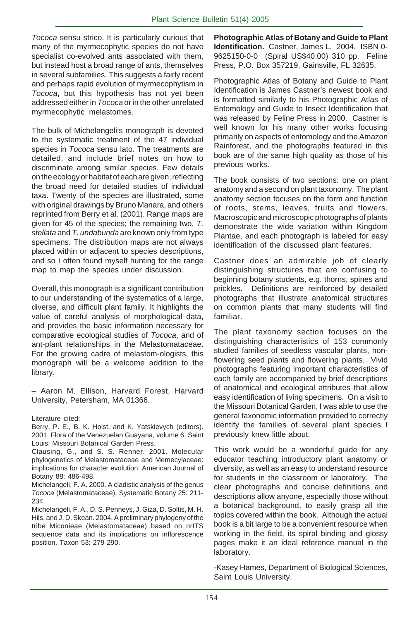*Tococa* sensu strico. It is particularly curious that many of the myrmecophytic species do not have specialist co-evolved ants associated with them, but instead host a broad range of ants, themselves in several subfamilies. This suggests a fairly recent and perhaps rapid evolution of myrmecophytism in *Tococa*, but this hypothesis has not yet been addressed either in *Tococa* or in the other unrelated myrmecophytic melastomes.

The bulk of Michelangeli's monograph is devoted to the systematic treatment of the 47 individual species in *Tococa* sensu lato. The treatments are detailed, and include brief notes on how to discriminate among similar species. Few details on the ecology or habitat of each are given, reflecting the broad need for detailed studies of individual taxa. Twenty of the species are illustrated, some with original drawings by Bruno Manara, and others reprinted from Berry et al. (2001). Range maps are given for 45 of the species; the remaining two, *T. stellata* and *T. undabunda* are known only from type specimens. The distribution maps are not always placed within or adjacent to species descriptions, and so I often found myself hunting for the range map to map the species under discussion.

Overall, this monograph is a significant contribution to our understanding of the systematics of a large, diverse, and difficult plant family. It highlights the value of careful analysis of morphological data, and provides the basic information necessary for comparative ecological studies of *Tococa*, and of ant-plant relationships in the Melastomataceae. For the growing cadre of melastom-ologists, this monograph will be a welcome addition to the library.

– Aaron M. Ellison, Harvard Forest, Harvard University, Petersham, MA 01366.

Literature cited:

Berry, P. E., B. K. Holst, and K. Yatskievych (editors). 2001. Flora of the Venezuelan Guayana, volume 6. Saint Louis: Missouri Botanical Garden Press.

Clausing, G., and S. S. Renner. 2001. Molecular phylogenetics of Melastomataceae and Memecylaceae: implications for character evolution. American Journal of Botany 88: 486-498.

Michelangeli, F. A. 2000. A cladistic analysis of the genus *Tococa* (Melastomataceae). Systematic Botany 25: 211- 234.

Michelangeli, F. A., D. S. Penneys, J. Giza, D. Soltis, M. H. Hils, and J. D. Skean. 2004. A preliminary phylogeny of the tribe Miconieae (Melastomataceae) based on nrITS sequence data and its implications on inflorescence position. Taxon 53: 279-290.

**Photographic Atlas of Botany and Guide to Plant Identification.** Castner, James L. 2004. ISBN 0- 9625150-0-0 (Spiral US\$40.00) 310 pp. Feline Press, P.O. Box 357219, Gainsville, FL 32635.

Photographic Atlas of Botany and Guide to Plant Identification is James Castner's newest book and is formatted similarly to his Photographic Atlas of Entomology and Guide to Insect Identification that was released by Feline Press in 2000. Castner is well known for his many other works focusing primarily on aspects of entomology and the Amazon Rainforest, and the photographs featured in this book are of the same high quality as those of his previous works.

The book consists of two sections: one on plant anatomy and a second on plant taxonomy. The plant anatomy section focuses on the form and function of roots, stems, leaves, fruits and flowers. Macroscopic and microscopic photographs of plants demonstrate the wide variation within Kingdom Plantae, and each photograph is labeled for easy identification of the discussed plant features.

Castner does an admirable job of clearly distinguishing structures that are confusing to beginning botany students, e.g. thorns, spines and prickles. Definitions are reinforced by detailed photographs that illustrate anatomical structures on common plants that many students will find familiar.

The plant taxonomy section focuses on the distinguishing characteristics of 153 commonly studied families of seedless vascular plants, nonflowering seed plants and flowering plants. Vivid photographs featuring important characteristics of each family are accompanied by brief descriptions of anatomical and ecological attributes that allow easy identification of living specimens. On a visit to the Missouri Botanical Garden, I was able to use the general taxonomic information provided to correctly identify the families of several plant species I previously knew little about.

This work would be a wonderful guide for any educator teaching introductory plant anatomy or diversity, as well as an easy to understand resource for students in the classroom or laboratory. The clear photographs and concise definitions and descriptions allow anyone, especially those without a botanical background, to easily grasp all the topics covered within the book. Although the actual book is a bit large to be a convenient resource when working in the field, its spiral binding and glossy pages make it an ideal reference manual in the laboratory.

-Kasey Hames, Department of Biological Sciences, Saint Louis University.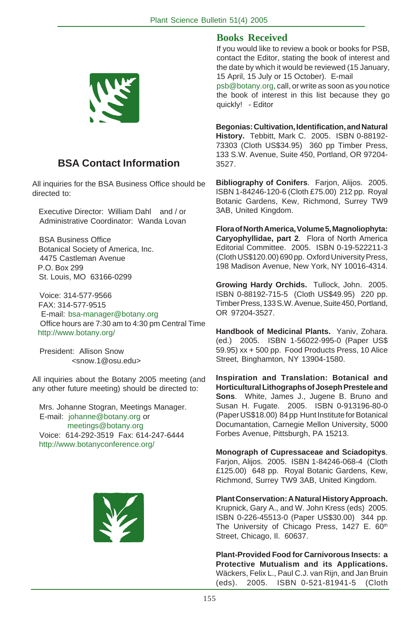

#### **BSA Contact Information**

All inquiries for the BSA Business Office should be directed to:

 Executive Director: William Dahl and / or Administrative Coordinator: Wanda Lovan

 BSA Business Office Botanical Society of America, Inc. 4475 Castleman Avenue P.O. Box 299 St. Louis, MO 63166-0299

 Voice: 314-577-9566 FAX: 314-577-9515 E-mail: bsa-manager@botany.org Office hours are 7:30 am to 4:30 pm Central Time http://www.botany.org/

 President: Allison Snow <snow.1@osu.edu>

All inquiries about the Botany 2005 meeting (and any other future meeting) should be directed to:

 Mrs. Johanne Stogran, Meetings Manager. E-mail: johanne@botany.org or meetings@botany.org Voice: 614-292-3519 Fax: 614-247-6444 http://www.botanyconference.org/



#### **Books Received**

If you would like to review a book or books for PSB, contact the Editor, stating the book of interest and the date by which it would be reviewed (15 January, 15 April, 15 July or 15 October). E-mail

psb@botany.org, call, or write as soon as you notice the book of interest in this list because they go quickly! - Editor

**Begonias: Cultivation, Identification, and Natural History.** Tebbitt, Mark C. 2005. ISBN 0-88192- 73303 (Cloth US\$34.95) 360 pp Timber Press, 133 S.W. Avenue, Suite 450, Portland, OR 97204- 3527.

**Bibliography of Conifers**. Farjon, Alijos. 2005. ISBN 1-84246-120-6 (Cloth £75.00) 212 pp. Royal Botanic Gardens, Kew, Richmond, Surrey TW9 3AB, United Kingdom.

**Flora of North America, Volume 5, Magnoliophyta: Caryophyllidae, part 2**. Flora of North America Editorial Committee. 2005. ISBN 0-19-522211-3 (Cloth US\$120.00) 690 pp. Oxford University Press, 198 Madison Avenue, New York, NY 10016-4314.

**Growing Hardy Orchids.** Tullock, John. 2005. ISBN 0-88192-715-5 (Cloth US\$49.95) 220 pp. Timber Press, 133 S.W. Avenue, Suite 450, Portland, OR 97204-3527.

**Handbook of Medicinal Plants.** Yaniv, Zohara. (ed.) 2005. ISBN 1-56022-995-0 (Paper US\$ 59.95) xx + 500 pp. Food Products Press, 10 Alice Street, Binghamton, NY 13904-1580.

**Inspiration and Translation: Botanical and Horticultural Lithographs of Joseph Prestele and Sons**. White, James J., Jugene B. Bruno and Susan H. Fugate. 2005. ISBN 0-913196-80-0 (Paper US\$18.00) 84 pp Hunt Institute for Botanical Documantation, Carnegie Mellon University, 5000 Forbes Avenue, Pittsburgh, PA 15213.

**Monograph of Cupressaceae and Sciadopitys**. Farjon, Alijos. 2005. ISBN 1-84246-068-4 (Cloth £125.00) 648 pp. Royal Botanic Gardens, Kew, Richmond, Surrey TW9 3AB, United Kingdom.

**Plant Conservation: A Natural History Approach.** Krupnick, Gary A., and W. John Kress (eds) 2005. ISBN 0-226-45513-0 (Paper US\$30.00) 344 pp. The University of Chicago Press, 1427 E. 60<sup>th</sup> Street, Chicago, Il. 60637.

**Plant-Provided Food for Carnivorous Insects: a Protective Mutualism and its Applications.** Wäckers, Felix L., Paul C.J. van Rijn, and Jan Bruin (eds). 2005. ISBN 0-521-81941-5 (Cloth